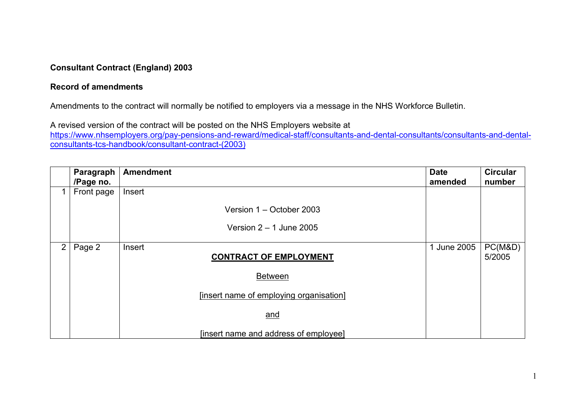## **Consultant Contract (England) 2003**

## **Record of amendments**

Amendments to the contract will normally be notified to employers via a message in the NHS Workforce Bulletin.

A revised version of the contract will be posted on the NHS Employers website at

[https://www.nhsemployers.org/pay-pensions-and-reward/medical-staff/consultants-and-dental-consultants/consultants-and-dental](https://www.nhsemployers.org/pay-pensions-and-reward/medical-staff/consultants-and-dental-consultants/consultants-and-dental-consultants-tcs-handbook/consultant-contract-(2003))[consultants-tcs-handbook/consultant-contract-\(2003\)](https://www.nhsemployers.org/pay-pensions-and-reward/medical-staff/consultants-and-dental-consultants/consultants-and-dental-consultants-tcs-handbook/consultant-contract-(2003))

|                | Paragraph<br>/Page no. | <b>Amendment</b>                        | <b>Date</b><br>amended | <b>Circular</b><br>number |
|----------------|------------------------|-----------------------------------------|------------------------|---------------------------|
|                | Front page             | Insert                                  |                        |                           |
|                |                        | Version 1 - October 2003                |                        |                           |
|                |                        | Version $2 - 1$ June 2005               |                        |                           |
| $\overline{2}$ | Page 2                 | Insert<br><b>CONTRACT OF EMPLOYMENT</b> | 1 June 2005            | PC(M&D)<br>5/2005         |
|                |                        | <b>Between</b>                          |                        |                           |
|                |                        | [insert name of employing organisation] |                        |                           |
|                |                        | and                                     |                        |                           |
|                |                        | [insert name and address of employee]   |                        |                           |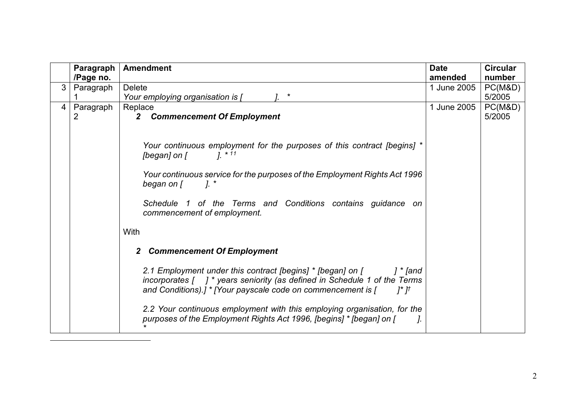<span id="page-1-0"></span>

|                | Paragraph | <b>Amendment</b>                                                                                                                                                                                                                                                                                                                                                                                                                                                                                                                                                                                                                                                                                                                                                                                  | <b>Date</b> | <b>Circular</b> |
|----------------|-----------|---------------------------------------------------------------------------------------------------------------------------------------------------------------------------------------------------------------------------------------------------------------------------------------------------------------------------------------------------------------------------------------------------------------------------------------------------------------------------------------------------------------------------------------------------------------------------------------------------------------------------------------------------------------------------------------------------------------------------------------------------------------------------------------------------|-------------|-----------------|
|                | /Page no. |                                                                                                                                                                                                                                                                                                                                                                                                                                                                                                                                                                                                                                                                                                                                                                                                   | amended     | number          |
| 3              | Paragraph | <b>Delete</b>                                                                                                                                                                                                                                                                                                                                                                                                                                                                                                                                                                                                                                                                                                                                                                                     | 1 June 2005 | PC(M&D)         |
|                |           | $\star$<br>Your employing organisation is [                                                                                                                                                                                                                                                                                                                                                                                                                                                                                                                                                                                                                                                                                                                                                       |             | 5/2005          |
| $\overline{4}$ | Paragraph | Replace                                                                                                                                                                                                                                                                                                                                                                                                                                                                                                                                                                                                                                                                                                                                                                                           | 1 June 2005 | PC(M&D)         |
|                | 2         | <b>Commencement Of Employment</b><br>$\mathbf{2}$                                                                                                                                                                                                                                                                                                                                                                                                                                                                                                                                                                                                                                                                                                                                                 |             | 5/2005          |
|                |           | Your continuous employment for the purposes of this contract [begins] *<br>[began] on [<br>$1^{*11}$<br>Your continuous service for the purposes of the Employment Rights Act 1996<br>began on [<br>7. *<br>Schedule 1 of the Terms and Conditions contains guidance on<br>commencement of employment.<br>With<br><b>Commencement Of Employment</b><br>2<br>2.1 Employment under this contract [begins] * [began] on [<br>] * [and<br>incorporates $\begin{bmatrix} 1 \end{bmatrix}^*$ years seniority (as defined in Schedule 1 of the Terms<br>and Conditions).] * [Your payscale code on commencement is $[$ $]$ $]$ * ] <sup>†</sup><br>2.2 Your continuous employment with this employing organisation, for the<br>purposes of the Employment Rights Act 1996, [begins] * [began] on [<br>J. |             |                 |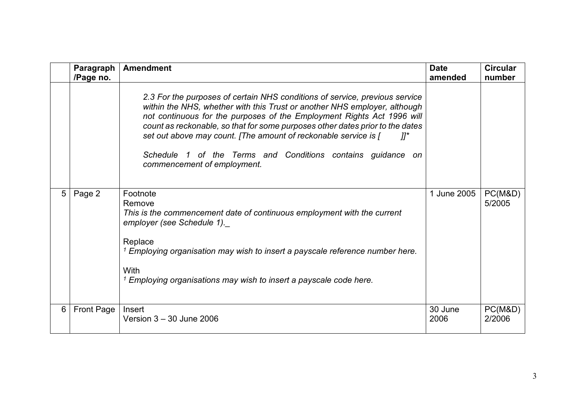|                 | Paragraph<br>/Page no. | <b>Amendment</b>                                                                                                                                                                                                                                                                                                                                                                                                                                                                                       | <b>Date</b><br>amended | <b>Circular</b><br>number |
|-----------------|------------------------|--------------------------------------------------------------------------------------------------------------------------------------------------------------------------------------------------------------------------------------------------------------------------------------------------------------------------------------------------------------------------------------------------------------------------------------------------------------------------------------------------------|------------------------|---------------------------|
|                 |                        | 2.3 For the purposes of certain NHS conditions of service, previous service<br>within the NHS, whether with this Trust or another NHS employer, although<br>not continuous for the purposes of the Employment Rights Act 1996 will<br>count as reckonable, so that for some purposes other dates prior to the dates<br>set out above may count. [The amount of reckonable service is [<br>$\eta^{\star}$<br>Schedule 1 of the Terms and Conditions contains guidance on<br>commencement of employment. |                        |                           |
| $5\overline{)}$ | Page 2                 | Footnote<br>Remove<br>This is the commencement date of continuous employment with the current<br>employer (see Schedule 1).<br>Replace<br><sup>1</sup> Employing organisation may wish to insert a payscale reference number here.<br>With<br>$1$ Employing organisations may wish to insert a payscale code here.                                                                                                                                                                                     | 1 June 2005            | PC(M&D)<br>5/2005         |
| 6               | Front Page             | Insert<br>Version $3 - 30$ June 2006                                                                                                                                                                                                                                                                                                                                                                                                                                                                   | 30 June<br>2006        | PC(M&D)<br>2/2006         |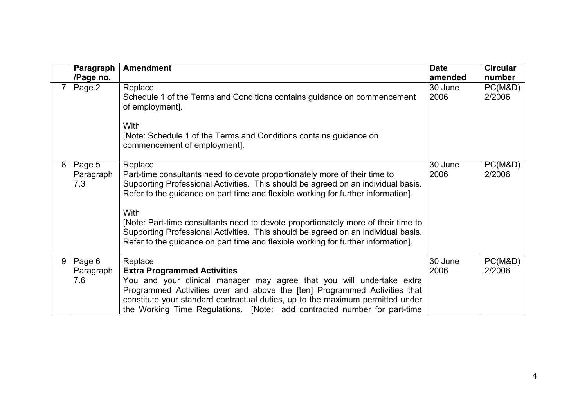|   | Paragraph<br>/Page no.     | <b>Amendment</b>                                                                                                                                                                                                                                                                                                                                                                                                                                                                                                                       | <b>Date</b><br>amended | <b>Circular</b><br>number |
|---|----------------------------|----------------------------------------------------------------------------------------------------------------------------------------------------------------------------------------------------------------------------------------------------------------------------------------------------------------------------------------------------------------------------------------------------------------------------------------------------------------------------------------------------------------------------------------|------------------------|---------------------------|
|   | Page 2                     | Replace<br>Schedule 1 of the Terms and Conditions contains guidance on commencement<br>of employment].<br>With<br>[Note: Schedule 1 of the Terms and Conditions contains guidance on<br>commencement of employment].                                                                                                                                                                                                                                                                                                                   | 30 June<br>2006        | PC(M&D)<br>2/2006         |
| 8 | Page 5<br>Paragraph<br>7.3 | Replace<br>Part-time consultants need to devote proportionately more of their time to<br>Supporting Professional Activities. This should be agreed on an individual basis.<br>Refer to the guidance on part time and flexible working for further information].<br>With<br>[Note: Part-time consultants need to devote proportionately more of their time to<br>Supporting Professional Activities. This should be agreed on an individual basis.<br>Refer to the guidance on part time and flexible working for further information]. | 30 June<br>2006        | PC(M&D)<br>2/2006         |
| 9 | Page 6<br>Paragraph<br>7.6 | Replace<br><b>Extra Programmed Activities</b><br>You and your clinical manager may agree that you will undertake extra<br>Programmed Activities over and above the [ten] Programmed Activities that<br>constitute your standard contractual duties, up to the maximum permitted under<br>the Working Time Regulations. [Note: add contracted number for part-time                                                                                                                                                                      | 30 June<br>2006        | PC(M&D)<br>2/2006         |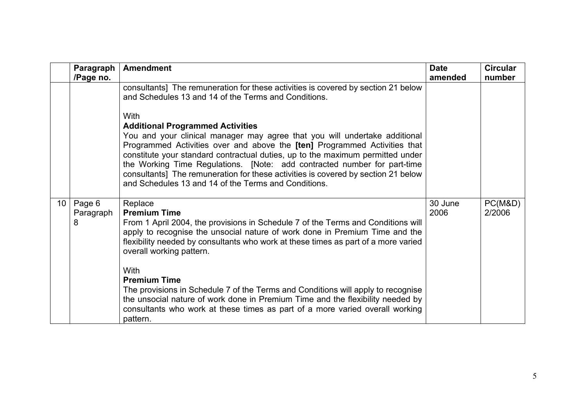<span id="page-4-0"></span>

|    | Paragraph<br>/Page no.   | <b>Amendment</b>                                                                                                                                                                                                                                                                                                                                                                                                                                                                                                                                                                                                                                                   | <b>Date</b><br>amended | <b>Circular</b><br>number |
|----|--------------------------|--------------------------------------------------------------------------------------------------------------------------------------------------------------------------------------------------------------------------------------------------------------------------------------------------------------------------------------------------------------------------------------------------------------------------------------------------------------------------------------------------------------------------------------------------------------------------------------------------------------------------------------------------------------------|------------------------|---------------------------|
|    |                          | consultants] The remuneration for these activities is covered by section 21 below<br>and Schedules 13 and 14 of the Terms and Conditions.<br>With<br><b>Additional Programmed Activities</b><br>You and your clinical manager may agree that you will undertake additional<br>Programmed Activities over and above the [ten] Programmed Activities that<br>constitute your standard contractual duties, up to the maximum permitted under<br>the Working Time Regulations. [Note: add contracted number for part-time<br>consultants] The remuneration for these activities is covered by section 21 below<br>and Schedules 13 and 14 of the Terms and Conditions. |                        |                           |
| 10 | Page 6<br>Paragraph<br>8 | Replace<br><b>Premium Time</b><br>From 1 April 2004, the provisions in Schedule 7 of the Terms and Conditions will<br>apply to recognise the unsocial nature of work done in Premium Time and the<br>flexibility needed by consultants who work at these times as part of a more varied<br>overall working pattern.<br>With<br><b>Premium Time</b><br>The provisions in Schedule 7 of the Terms and Conditions will apply to recognise<br>the unsocial nature of work done in Premium Time and the flexibility needed by<br>consultants who work at these times as part of a more varied overall working<br>pattern.                                               | 30 June<br>2006        | PC(M&D)<br>2/2006         |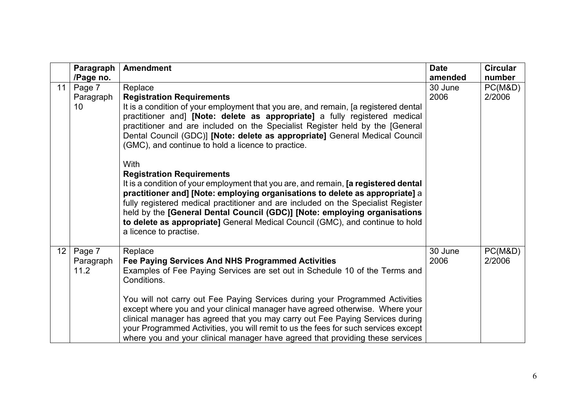|                 | Paragraph                   | <b>Amendment</b>                                                                                                                                                                                                                                                                                                                                                                                                                                                                                                                                                                   | <b>Date</b>     | <b>Circular</b>   |
|-----------------|-----------------------------|------------------------------------------------------------------------------------------------------------------------------------------------------------------------------------------------------------------------------------------------------------------------------------------------------------------------------------------------------------------------------------------------------------------------------------------------------------------------------------------------------------------------------------------------------------------------------------|-----------------|-------------------|
|                 | /Page no.                   |                                                                                                                                                                                                                                                                                                                                                                                                                                                                                                                                                                                    | amended         | number            |
| 11              | Page 7<br>Paragraph<br>10   | Replace<br><b>Registration Requirements</b><br>It is a condition of your employment that you are, and remain, [a registered dental<br>practitioner and] [Note: delete as appropriate] a fully registered medical<br>practitioner and are included on the Specialist Register held by the [General<br>Dental Council (GDC)] [Note: delete as appropriate] General Medical Council<br>(GMC), and continue to hold a licence to practice.                                                                                                                                             | 30 June<br>2006 | PC(M&D)<br>2/2006 |
|                 |                             | <b>With</b><br><b>Registration Requirements</b><br>It is a condition of your employment that you are, and remain, [a registered dental<br>practitioner and] [Note: employing organisations to delete as appropriate] a<br>fully registered medical practitioner and are included on the Specialist Register<br>held by the [General Dental Council (GDC)] [Note: employing organisations<br>to delete as appropriate] General Medical Council (GMC), and continue to hold<br>a licence to practise.                                                                                |                 |                   |
| 12 <sub>1</sub> | Page 7<br>Paragraph<br>11.2 | Replace<br>Fee Paying Services And NHS Programmed Activities<br>Examples of Fee Paying Services are set out in Schedule 10 of the Terms and<br>Conditions.<br>You will not carry out Fee Paying Services during your Programmed Activities<br>except where you and your clinical manager have agreed otherwise. Where your<br>clinical manager has agreed that you may carry out Fee Paying Services during<br>your Programmed Activities, you will remit to us the fees for such services except<br>where you and your clinical manager have agreed that providing these services | 30 June<br>2006 | PC(M&D)<br>2/2006 |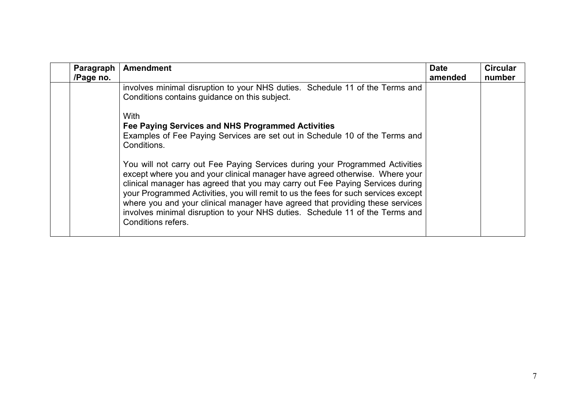| Paragraph<br>/Page no. | <b>Amendment</b>                                                                                                                                                                                                                                                                                                                                                                                                                                                                                                                                                                                                                                                                      | <b>Date</b><br>amended | <b>Circular</b><br>number |
|------------------------|---------------------------------------------------------------------------------------------------------------------------------------------------------------------------------------------------------------------------------------------------------------------------------------------------------------------------------------------------------------------------------------------------------------------------------------------------------------------------------------------------------------------------------------------------------------------------------------------------------------------------------------------------------------------------------------|------------------------|---------------------------|
|                        | involves minimal disruption to your NHS duties. Schedule 11 of the Terms and<br>Conditions contains guidance on this subject.                                                                                                                                                                                                                                                                                                                                                                                                                                                                                                                                                         |                        |                           |
|                        | With<br>Fee Paying Services and NHS Programmed Activities<br>Examples of Fee Paying Services are set out in Schedule 10 of the Terms and<br>Conditions.<br>You will not carry out Fee Paying Services during your Programmed Activities<br>except where you and your clinical manager have agreed otherwise. Where your<br>clinical manager has agreed that you may carry out Fee Paying Services during<br>your Programmed Activities, you will remit to us the fees for such services except<br>where you and your clinical manager have agreed that providing these services<br>involves minimal disruption to your NHS duties. Schedule 11 of the Terms and<br>Conditions refers. |                        |                           |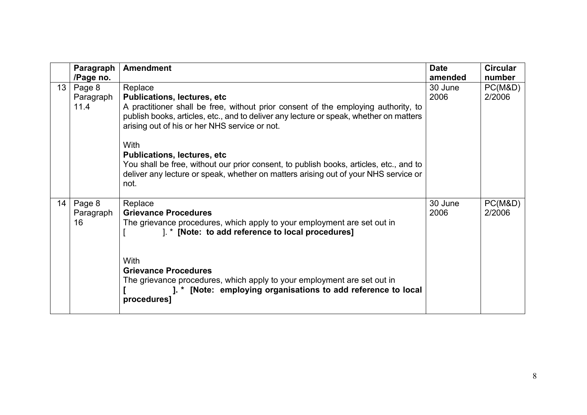|                 | Paragraph | <b>Amendment</b>                                                                                                                                                              | <b>Date</b> | <b>Circular</b> |
|-----------------|-----------|-------------------------------------------------------------------------------------------------------------------------------------------------------------------------------|-------------|-----------------|
|                 | /Page no. |                                                                                                                                                                               | amended     | number          |
| 13 <sup>1</sup> | Page 8    | Replace                                                                                                                                                                       | 30 June     | PC(M&D)         |
|                 | Paragraph | <b>Publications, lectures, etc</b>                                                                                                                                            | 2006        | 2/2006          |
|                 | 11.4      | A practitioner shall be free, without prior consent of the employing authority, to<br>publish books, articles, etc., and to deliver any lecture or speak, whether on matters  |             |                 |
|                 |           | arising out of his or her NHS service or not.                                                                                                                                 |             |                 |
|                 |           | <b>With</b>                                                                                                                                                                   |             |                 |
|                 |           | <b>Publications, lectures, etc.</b>                                                                                                                                           |             |                 |
|                 |           | You shall be free, without our prior consent, to publish books, articles, etc., and to<br>deliver any lecture or speak, whether on matters arising out of your NHS service or |             |                 |
|                 |           | not.                                                                                                                                                                          |             |                 |
|                 |           |                                                                                                                                                                               |             |                 |
| 14              | Page 8    | Replace                                                                                                                                                                       | 30 June     | PC(M&D)         |
|                 | Paragraph | <b>Grievance Procedures</b>                                                                                                                                                   | 2006        | 2/2006          |
|                 | 16        | The grievance procedures, which apply to your employment are set out in<br>1. * [Note: to add reference to local procedures]                                                  |             |                 |
|                 |           |                                                                                                                                                                               |             |                 |
|                 |           | <b>With</b>                                                                                                                                                                   |             |                 |
|                 |           | <b>Grievance Procedures</b>                                                                                                                                                   |             |                 |
|                 |           | The grievance procedures, which apply to your employment are set out in                                                                                                       |             |                 |
|                 |           | ]. * [Note: employing organisations to add reference to local<br>procedures]                                                                                                  |             |                 |
|                 |           |                                                                                                                                                                               |             |                 |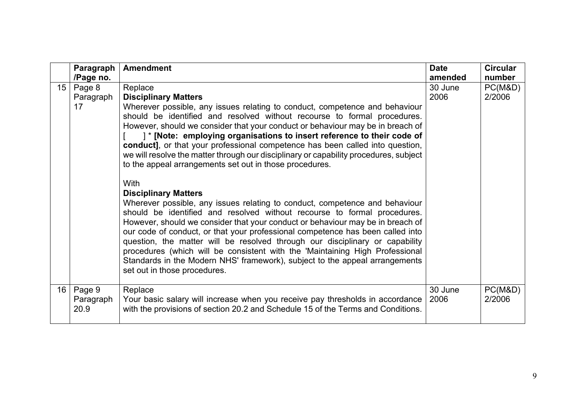|                 | Paragraph | <b>Amendment</b>                                                                                                                                                       | <b>Date</b> | <b>Circular</b> |
|-----------------|-----------|------------------------------------------------------------------------------------------------------------------------------------------------------------------------|-------------|-----------------|
|                 | /Page no. |                                                                                                                                                                        | amended     | number          |
| 15 <sup>1</sup> | Page 8    | Replace                                                                                                                                                                | 30 June     | PC(M&D)         |
|                 | Paragraph | <b>Disciplinary Matters</b>                                                                                                                                            | 2006        | 2/2006          |
|                 | 17        | Wherever possible, any issues relating to conduct, competence and behaviour                                                                                            |             |                 |
|                 |           | should be identified and resolved without recourse to formal procedures.                                                                                               |             |                 |
|                 |           | However, should we consider that your conduct or behaviour may be in breach of                                                                                         |             |                 |
|                 |           | ]* [Note: employing organisations to insert reference to their code of                                                                                                 |             |                 |
|                 |           | conduct], or that your professional competence has been called into question,<br>we will resolve the matter through our disciplinary or capability procedures, subject |             |                 |
|                 |           | to the appeal arrangements set out in those procedures.                                                                                                                |             |                 |
|                 |           |                                                                                                                                                                        |             |                 |
|                 |           | With                                                                                                                                                                   |             |                 |
|                 |           | <b>Disciplinary Matters</b>                                                                                                                                            |             |                 |
|                 |           | Wherever possible, any issues relating to conduct, competence and behaviour                                                                                            |             |                 |
|                 |           | should be identified and resolved without recourse to formal procedures.                                                                                               |             |                 |
|                 |           | However, should we consider that your conduct or behaviour may be in breach of                                                                                         |             |                 |
|                 |           | our code of conduct, or that your professional competence has been called into                                                                                         |             |                 |
|                 |           | question, the matter will be resolved through our disciplinary or capability                                                                                           |             |                 |
|                 |           | procedures (which will be consistent with the 'Maintaining High Professional                                                                                           |             |                 |
|                 |           | Standards in the Modern NHS' framework), subject to the appeal arrangements                                                                                            |             |                 |
|                 |           | set out in those procedures.                                                                                                                                           |             |                 |
| 16 <sup>1</sup> | Page 9    | Replace                                                                                                                                                                | 30 June     | PC(M&D)         |
|                 | Paragraph | Your basic salary will increase when you receive pay thresholds in accordance                                                                                          | 2006        | 2/2006          |
|                 | 20.9      | with the provisions of section 20.2 and Schedule 15 of the Terms and Conditions.                                                                                       |             |                 |
|                 |           |                                                                                                                                                                        |             |                 |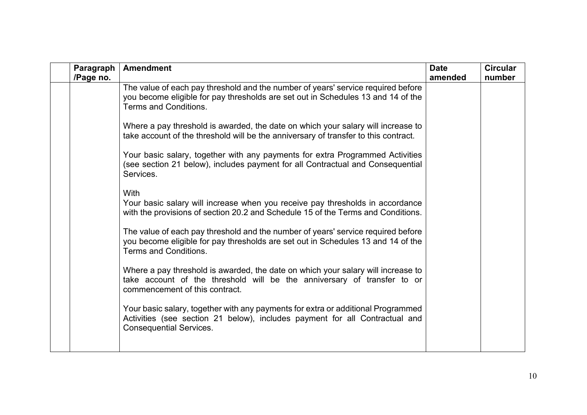| Paragraph<br>/Page no. | <b>Amendment</b>                                                                                                                                                                                  | <b>Date</b><br>amended | <b>Circular</b><br>number |
|------------------------|---------------------------------------------------------------------------------------------------------------------------------------------------------------------------------------------------|------------------------|---------------------------|
|                        | The value of each pay threshold and the number of years' service required before<br>you become eligible for pay thresholds are set out in Schedules 13 and 14 of the<br>Terms and Conditions.     |                        |                           |
|                        | Where a pay threshold is awarded, the date on which your salary will increase to<br>take account of the threshold will be the anniversary of transfer to this contract.                           |                        |                           |
|                        | Your basic salary, together with any payments for extra Programmed Activities<br>(see section 21 below), includes payment for all Contractual and Consequential<br>Services.                      |                        |                           |
|                        | <b>With</b><br>Your basic salary will increase when you receive pay thresholds in accordance<br>with the provisions of section 20.2 and Schedule 15 of the Terms and Conditions.                  |                        |                           |
|                        | The value of each pay threshold and the number of years' service required before<br>you become eligible for pay thresholds are set out in Schedules 13 and 14 of the<br>Terms and Conditions.     |                        |                           |
|                        | Where a pay threshold is awarded, the date on which your salary will increase to<br>take account of the threshold will be the anniversary of transfer to or<br>commencement of this contract.     |                        |                           |
|                        | Your basic salary, together with any payments for extra or additional Programmed<br>Activities (see section 21 below), includes payment for all Contractual and<br><b>Consequential Services.</b> |                        |                           |
|                        |                                                                                                                                                                                                   |                        |                           |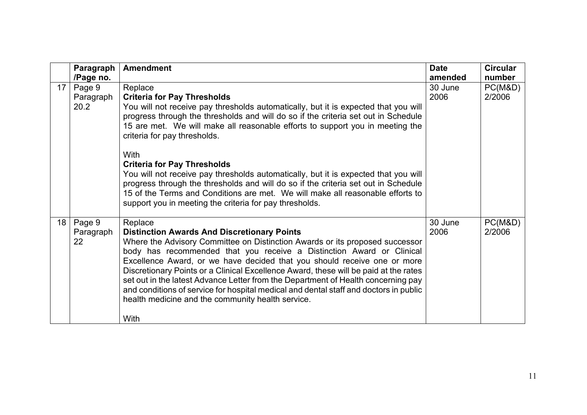|                 | Paragraph                   | <b>Amendment</b>                                                                                                                                                                                                                                                                                                                                                                                                                                                                                                                                                                                                              | <b>Date</b>     | <b>Circular</b>   |
|-----------------|-----------------------------|-------------------------------------------------------------------------------------------------------------------------------------------------------------------------------------------------------------------------------------------------------------------------------------------------------------------------------------------------------------------------------------------------------------------------------------------------------------------------------------------------------------------------------------------------------------------------------------------------------------------------------|-----------------|-------------------|
|                 | /Page no.                   |                                                                                                                                                                                                                                                                                                                                                                                                                                                                                                                                                                                                                               | amended         | number            |
| 17 <sup>1</sup> | Page 9<br>Paragraph<br>20.2 | Replace<br><b>Criteria for Pay Thresholds</b><br>You will not receive pay thresholds automatically, but it is expected that you will<br>progress through the thresholds and will do so if the criteria set out in Schedule<br>15 are met. We will make all reasonable efforts to support you in meeting the<br>criteria for pay thresholds.                                                                                                                                                                                                                                                                                   | 30 June<br>2006 | PC(M&D)<br>2/2006 |
|                 |                             | With<br><b>Criteria for Pay Thresholds</b><br>You will not receive pay thresholds automatically, but it is expected that you will<br>progress through the thresholds and will do so if the criteria set out in Schedule<br>15 of the Terms and Conditions are met. We will make all reasonable efforts to<br>support you in meeting the criteria for pay thresholds.                                                                                                                                                                                                                                                          |                 |                   |
| 18 <sup>1</sup> | Page 9<br>Paragraph<br>22   | Replace<br><b>Distinction Awards And Discretionary Points</b><br>Where the Advisory Committee on Distinction Awards or its proposed successor<br>body has recommended that you receive a Distinction Award or Clinical<br>Excellence Award, or we have decided that you should receive one or more<br>Discretionary Points or a Clinical Excellence Award, these will be paid at the rates<br>set out in the latest Advance Letter from the Department of Health concerning pay<br>and conditions of service for hospital medical and dental staff and doctors in public<br>health medicine and the community health service. | 30 June<br>2006 | PC(M&D)<br>2/2006 |
|                 |                             | With                                                                                                                                                                                                                                                                                                                                                                                                                                                                                                                                                                                                                          |                 |                   |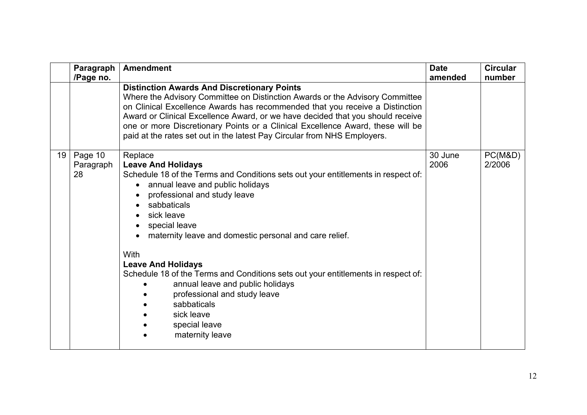|    | Paragraph                  | <b>Amendment</b>                                                                                                                                                                                                                                                                                                                                                                                                                                                                                                                                                     | <b>Date</b>     | <b>Circular</b>   |
|----|----------------------------|----------------------------------------------------------------------------------------------------------------------------------------------------------------------------------------------------------------------------------------------------------------------------------------------------------------------------------------------------------------------------------------------------------------------------------------------------------------------------------------------------------------------------------------------------------------------|-----------------|-------------------|
|    | /Page no.                  | <b>Distinction Awards And Discretionary Points</b><br>Where the Advisory Committee on Distinction Awards or the Advisory Committee<br>on Clinical Excellence Awards has recommended that you receive a Distinction<br>Award or Clinical Excellence Award, or we have decided that you should receive<br>one or more Discretionary Points or a Clinical Excellence Award, these will be<br>paid at the rates set out in the latest Pay Circular from NHS Employers.                                                                                                   | amended         | number            |
| 19 | Page 10<br>Paragraph<br>28 | Replace<br><b>Leave And Holidays</b><br>Schedule 18 of the Terms and Conditions sets out your entitlements in respect of:<br>annual leave and public holidays<br>professional and study leave<br>sabbaticals<br>sick leave<br>special leave<br>maternity leave and domestic personal and care relief.<br>With<br><b>Leave And Holidays</b><br>Schedule 18 of the Terms and Conditions sets out your entitlements in respect of:<br>annual leave and public holidays<br>professional and study leave<br>sabbaticals<br>sick leave<br>special leave<br>maternity leave | 30 June<br>2006 | PC(M&D)<br>2/2006 |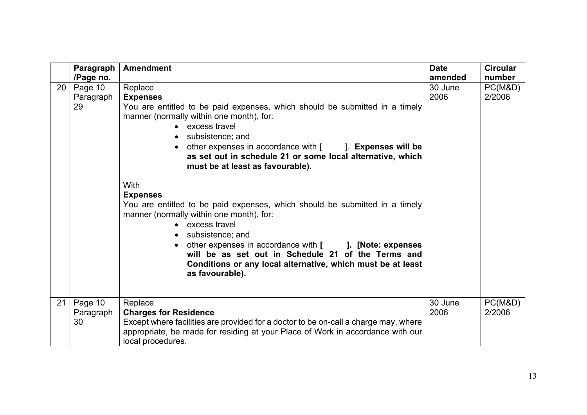|    | Paragraph                               | <b>Amendment</b>                                                                                                                                                                                                                                                                                                                                                                                                                                                                                                                                                                                                                                                                                                                                                                                                           | <b>Date</b>                | <b>Circular</b>             |
|----|-----------------------------------------|----------------------------------------------------------------------------------------------------------------------------------------------------------------------------------------------------------------------------------------------------------------------------------------------------------------------------------------------------------------------------------------------------------------------------------------------------------------------------------------------------------------------------------------------------------------------------------------------------------------------------------------------------------------------------------------------------------------------------------------------------------------------------------------------------------------------------|----------------------------|-----------------------------|
| 20 | /Page no.<br>Page 10<br>Paragraph<br>29 | Replace<br><b>Expenses</b><br>You are entitled to be paid expenses, which should be submitted in a timely<br>manner (normally within one month), for:<br>• excess travel<br>• subsistence; and<br>other expenses in accordance with $\lceil \cdot \cdot \cdot \rceil$ . Expenses will be<br>$\bullet$<br>as set out in schedule 21 or some local alternative, which<br>must be at least as favourable).<br><b>With</b><br><b>Expenses</b><br>You are entitled to be paid expenses, which should be submitted in a timely<br>manner (normally within one month), for:<br>• excess travel<br>subsistence; and<br>$\bullet$<br>other expenses in accordance with [ ]. [Note: expenses<br>will be as set out in Schedule 21 of the Terms and<br>Conditions or any local alternative, which must be at least<br>as favourable). | amended<br>30 June<br>2006 | number<br>PC(M&D)<br>2/2006 |
| 21 | Page 10<br>Paragraph<br>30              | Replace<br><b>Charges for Residence</b><br>Except where facilities are provided for a doctor to be on-call a charge may, where<br>appropriate, be made for residing at your Place of Work in accordance with our<br>local procedures.                                                                                                                                                                                                                                                                                                                                                                                                                                                                                                                                                                                      | 30 June<br>2006            | PC(M&D)<br>2/2006           |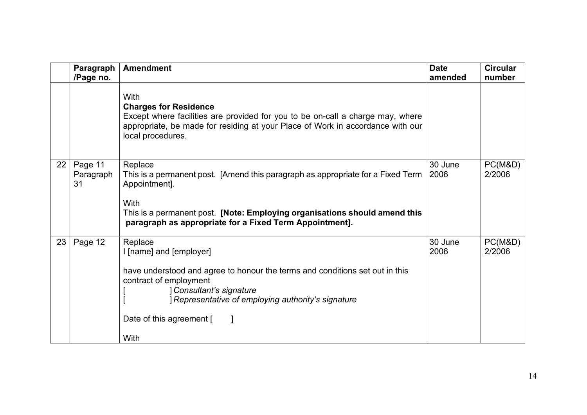|    | Paragraph<br>/Page no.     | <b>Amendment</b>                                                                                                                                                                                                                                                       | <b>Date</b><br>amended | <b>Circular</b><br>number |
|----|----------------------------|------------------------------------------------------------------------------------------------------------------------------------------------------------------------------------------------------------------------------------------------------------------------|------------------------|---------------------------|
|    |                            | With<br><b>Charges for Residence</b><br>Except where facilities are provided for you to be on-call a charge may, where<br>appropriate, be made for residing at your Place of Work in accordance with our<br>local procedures.                                          |                        |                           |
| 22 | Page 11<br>Paragraph<br>31 | Replace<br>This is a permanent post. [Amend this paragraph as appropriate for a Fixed Term<br>Appointment].<br>With<br>This is a permanent post. [Note: Employing organisations should amend this<br>paragraph as appropriate for a Fixed Term Appointment].           | 30 June<br>2006        | PC(M&D)<br>2/2006         |
| 23 | Page 12                    | Replace<br>I [name] and [employer]<br>have understood and agree to honour the terms and conditions set out in this<br>contract of employment<br>Consultant's signature<br><i>Representative of employing authority's signature</i><br>Date of this agreement [<br>With | 30 June<br>2006        | PC(M&D)<br>2/2006         |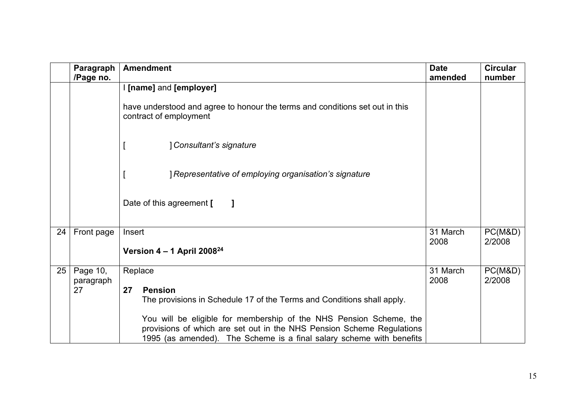|    | Paragraph<br>/Page no.      | <b>Amendment</b>                                                                                                                                                                                                                                                                                                                 | <b>Date</b><br>amended | <b>Circular</b><br>number |
|----|-----------------------------|----------------------------------------------------------------------------------------------------------------------------------------------------------------------------------------------------------------------------------------------------------------------------------------------------------------------------------|------------------------|---------------------------|
|    |                             | I [name] and [employer]<br>have understood and agree to honour the terms and conditions set out in this<br>contract of employment<br>] Consultant's signature<br>Representative of employing organisation's signature<br>Date of this agreement [                                                                                |                        |                           |
| 24 | Front page                  | Insert<br>Version $4 - 1$ April 2008 <sup>24</sup>                                                                                                                                                                                                                                                                               | 31 March<br>2008       | PC(M&D)<br>2/2008         |
| 25 | Page 10,<br>paragraph<br>27 | Replace<br><b>Pension</b><br>27<br>The provisions in Schedule 17 of the Terms and Conditions shall apply.<br>You will be eligible for membership of the NHS Pension Scheme, the<br>provisions of which are set out in the NHS Pension Scheme Regulations<br>1995 (as amended). The Scheme is a final salary scheme with benefits | 31 March<br>2008       | PC(M&D)<br>2/2008         |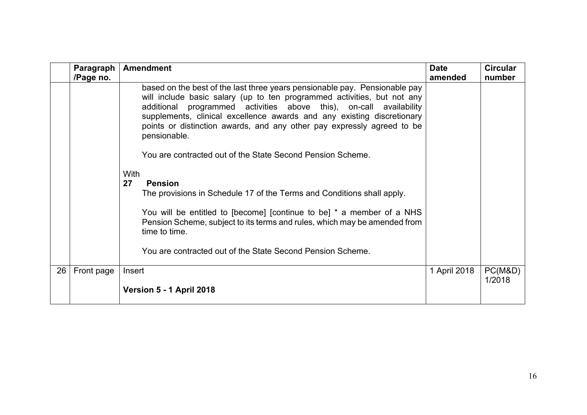|    | Paragraph<br>/Page no. | <b>Amendment</b>                                                                                                                                                                                                                                                                                                                                                                                                                                              | <b>Date</b><br>amended | <b>Circular</b><br>number |
|----|------------------------|---------------------------------------------------------------------------------------------------------------------------------------------------------------------------------------------------------------------------------------------------------------------------------------------------------------------------------------------------------------------------------------------------------------------------------------------------------------|------------------------|---------------------------|
|    |                        | based on the best of the last three years pensionable pay. Pensionable pay<br>will include basic salary (up to ten programmed activities, but not any<br>additional programmed activities above this), on-call availability<br>supplements, clinical excellence awards and any existing discretionary<br>points or distinction awards, and any other pay expressly agreed to be<br>pensionable.<br>You are contracted out of the State Second Pension Scheme. |                        |                           |
|    |                        | With<br>27<br><b>Pension</b><br>The provisions in Schedule 17 of the Terms and Conditions shall apply.<br>You will be entitled to [become] [continue to be] $*$ a member of a NHS<br>Pension Scheme, subject to its terms and rules, which may be amended from<br>time to time.<br>You are contracted out of the State Second Pension Scheme.                                                                                                                 |                        |                           |
| 26 | Front page             | Insert<br>Version 5 - 1 April 2018                                                                                                                                                                                                                                                                                                                                                                                                                            | 1 April 2018           | PC(M&D)<br>1/2018         |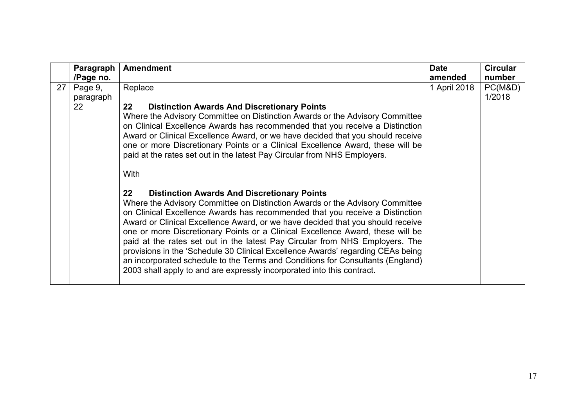|    | Paragraph                  | <b>Amendment</b>                                                                                                                                                                                                                                                                                                                                                                                                                                                                                                                                                                                                                                                                                                                 | <b>Date</b>  | <b>Circular</b>   |
|----|----------------------------|----------------------------------------------------------------------------------------------------------------------------------------------------------------------------------------------------------------------------------------------------------------------------------------------------------------------------------------------------------------------------------------------------------------------------------------------------------------------------------------------------------------------------------------------------------------------------------------------------------------------------------------------------------------------------------------------------------------------------------|--------------|-------------------|
|    | /Page no.                  |                                                                                                                                                                                                                                                                                                                                                                                                                                                                                                                                                                                                                                                                                                                                  | amended      | number            |
| 27 | Page 9,<br>paragraph<br>22 | Replace<br>$22 \,$<br><b>Distinction Awards And Discretionary Points</b><br>Where the Advisory Committee on Distinction Awards or the Advisory Committee<br>on Clinical Excellence Awards has recommended that you receive a Distinction<br>Award or Clinical Excellence Award, or we have decided that you should receive<br>one or more Discretionary Points or a Clinical Excellence Award, these will be<br>paid at the rates set out in the latest Pay Circular from NHS Employers.<br>With                                                                                                                                                                                                                                 | 1 April 2018 | PC(M&D)<br>1/2018 |
|    |                            | $22 \,$<br><b>Distinction Awards And Discretionary Points</b><br>Where the Advisory Committee on Distinction Awards or the Advisory Committee<br>on Clinical Excellence Awards has recommended that you receive a Distinction<br>Award or Clinical Excellence Award, or we have decided that you should receive<br>one or more Discretionary Points or a Clinical Excellence Award, these will be<br>paid at the rates set out in the latest Pay Circular from NHS Employers. The<br>provisions in the 'Schedule 30 Clinical Excellence Awards' regarding CEAs being<br>an incorporated schedule to the Terms and Conditions for Consultants (England)<br>2003 shall apply to and are expressly incorporated into this contract. |              |                   |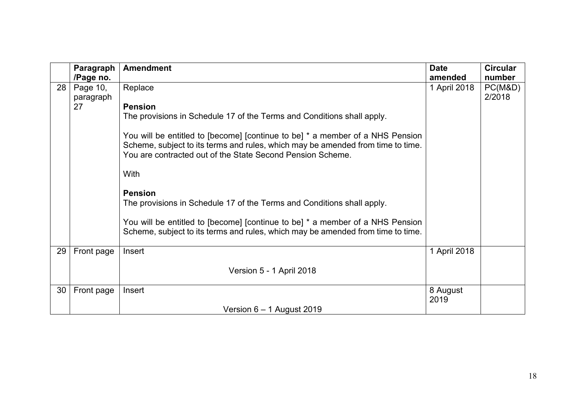|    | Paragraph  | <b>Amendment</b>                                                                                                                                                                                                               | <b>Date</b>      | <b>Circular</b> |
|----|------------|--------------------------------------------------------------------------------------------------------------------------------------------------------------------------------------------------------------------------------|------------------|-----------------|
|    | /Page no.  |                                                                                                                                                                                                                                | amended          | number          |
| 28 | Page 10,   | Replace                                                                                                                                                                                                                        | 1 April 2018     | PC(M&D)         |
|    | paragraph  |                                                                                                                                                                                                                                |                  | 2/2018          |
|    | 27         | <b>Pension</b>                                                                                                                                                                                                                 |                  |                 |
|    |            | The provisions in Schedule 17 of the Terms and Conditions shall apply.                                                                                                                                                         |                  |                 |
|    |            | You will be entitled to [become] [continue to be] * a member of a NHS Pension<br>Scheme, subject to its terms and rules, which may be amended from time to time.<br>You are contracted out of the State Second Pension Scheme. |                  |                 |
|    |            | With                                                                                                                                                                                                                           |                  |                 |
|    |            | <b>Pension</b><br>The provisions in Schedule 17 of the Terms and Conditions shall apply.                                                                                                                                       |                  |                 |
|    |            | You will be entitled to [become] [continue to be] * a member of a NHS Pension<br>Scheme, subject to its terms and rules, which may be amended from time to time.                                                               |                  |                 |
| 29 | Front page | Insert                                                                                                                                                                                                                         | 1 April 2018     |                 |
|    |            | Version 5 - 1 April 2018                                                                                                                                                                                                       |                  |                 |
| 30 | Front page | Insert                                                                                                                                                                                                                         | 8 August<br>2019 |                 |
|    |            | Version $6 - 1$ August 2019                                                                                                                                                                                                    |                  |                 |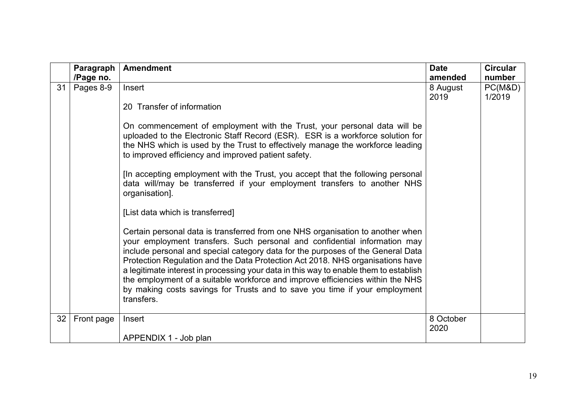|    | Paragraph  | <b>Amendment</b>                                                                                                                                                 | <b>Date</b> | <b>Circular</b> |
|----|------------|------------------------------------------------------------------------------------------------------------------------------------------------------------------|-------------|-----------------|
|    | /Page no.  |                                                                                                                                                                  | amended     | number          |
| 31 | Pages 8-9  | Insert                                                                                                                                                           | 8 August    | PC(M&D)         |
|    |            |                                                                                                                                                                  | 2019        | 1/2019          |
|    |            | 20 Transfer of information                                                                                                                                       |             |                 |
|    |            | On commencement of employment with the Trust, your personal data will be                                                                                         |             |                 |
|    |            | uploaded to the Electronic Staff Record (ESR). ESR is a workforce solution for<br>the NHS which is used by the Trust to effectively manage the workforce leading |             |                 |
|    |            | to improved efficiency and improved patient safety.                                                                                                              |             |                 |
|    |            | [In accepting employment with the Trust, you accept that the following personal                                                                                  |             |                 |
|    |            | data will/may be transferred if your employment transfers to another NHS<br>organisation].                                                                       |             |                 |
|    |            | [List data which is transferred]                                                                                                                                 |             |                 |
|    |            | Certain personal data is transferred from one NHS organisation to another when                                                                                   |             |                 |
|    |            | your employment transfers. Such personal and confidential information may<br>include personal and special category data for the purposes of the General Data     |             |                 |
|    |            | Protection Regulation and the Data Protection Act 2018. NHS organisations have                                                                                   |             |                 |
|    |            | a legitimate interest in processing your data in this way to enable them to establish                                                                            |             |                 |
|    |            | the employment of a suitable workforce and improve efficiencies within the NHS                                                                                   |             |                 |
|    |            | by making costs savings for Trusts and to save you time if your employment<br>transfers.                                                                         |             |                 |
|    |            |                                                                                                                                                                  |             |                 |
| 32 | Front page | Insert                                                                                                                                                           | 8 October   |                 |
|    |            |                                                                                                                                                                  | 2020        |                 |
|    |            | APPENDIX 1 - Job plan                                                                                                                                            |             |                 |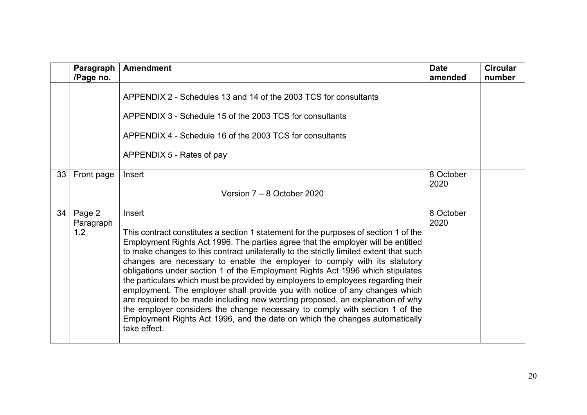|    | Paragraph<br>/Page no.     | <b>Amendment</b>                                                                                                                                                                                                                                                                                                                                                                                                                                                                                                                                                                                                                                                                                                                                                                                                                                                              | <b>Date</b><br>amended | <b>Circular</b><br>number |
|----|----------------------------|-------------------------------------------------------------------------------------------------------------------------------------------------------------------------------------------------------------------------------------------------------------------------------------------------------------------------------------------------------------------------------------------------------------------------------------------------------------------------------------------------------------------------------------------------------------------------------------------------------------------------------------------------------------------------------------------------------------------------------------------------------------------------------------------------------------------------------------------------------------------------------|------------------------|---------------------------|
|    |                            | APPENDIX 2 - Schedules 13 and 14 of the 2003 TCS for consultants<br>APPENDIX 3 - Schedule 15 of the 2003 TCS for consultants<br>APPENDIX 4 - Schedule 16 of the 2003 TCS for consultants<br>APPENDIX 5 - Rates of pay                                                                                                                                                                                                                                                                                                                                                                                                                                                                                                                                                                                                                                                         |                        |                           |
| 33 | Front page                 | Insert<br>Version $7 - 8$ October 2020                                                                                                                                                                                                                                                                                                                                                                                                                                                                                                                                                                                                                                                                                                                                                                                                                                        | 8 October<br>2020      |                           |
| 34 | Page 2<br>Paragraph<br>1.2 | Insert<br>This contract constitutes a section 1 statement for the purposes of section 1 of the<br>Employment Rights Act 1996. The parties agree that the employer will be entitled<br>to make changes to this contract unilaterally to the strictly limited extent that such<br>changes are necessary to enable the employer to comply with its statutory<br>obligations under section 1 of the Employment Rights Act 1996 which stipulates<br>the particulars which must be provided by employers to employees regarding their<br>employment. The employer shall provide you with notice of any changes which<br>are required to be made including new wording proposed, an explanation of why<br>the employer considers the change necessary to comply with section 1 of the<br>Employment Rights Act 1996, and the date on which the changes automatically<br>take effect. | 8 October<br>2020      |                           |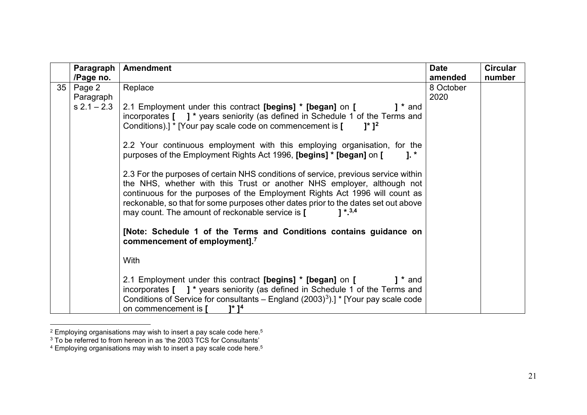<span id="page-20-2"></span><span id="page-20-1"></span><span id="page-20-0"></span>

|    | Paragraph           | <b>Amendment</b>                                                                                                                                                                                                                                                                                                                                                                                   | <b>Date</b>       | <b>Circular</b> |
|----|---------------------|----------------------------------------------------------------------------------------------------------------------------------------------------------------------------------------------------------------------------------------------------------------------------------------------------------------------------------------------------------------------------------------------------|-------------------|-----------------|
|    | /Page no.           |                                                                                                                                                                                                                                                                                                                                                                                                    | amended           | number          |
| 35 | Page 2<br>Paragraph | Replace                                                                                                                                                                                                                                                                                                                                                                                            | 8 October<br>2020 |                 |
|    | $s 2.1 - 2.3$       | 2.1 Employment under this contract [begins] * [began] on [<br>$1 *$ and<br>incorporates [ ] * years seniority (as defined in Schedule 1 of the Terms and<br>Conditions).] * [Your pay scale code on commencement is [<br>$1^*$ 1 <sup>2</sup>                                                                                                                                                      |                   |                 |
|    |                     | 2.2 Your continuous employment with this employing organisation, for the<br>purposes of the Employment Rights Act 1996, [begins] * [began] on [<br>$\mathbf{1}$ . $^{\star}$                                                                                                                                                                                                                       |                   |                 |
|    |                     | 2.3 For the purposes of certain NHS conditions of service, previous service within<br>the NHS, whether with this Trust or another NHS employer, although not<br>continuous for the purposes of the Employment Rights Act 1996 will count as<br>reckonable, so that for some purposes other dates prior to the dates set out above<br>may count. The amount of reckonable service is [<br>$1 * 3,4$ |                   |                 |
|    |                     | [Note: Schedule 1 of the Terms and Conditions contains guidance on<br>commencement of employment]. <sup>7</sup>                                                                                                                                                                                                                                                                                    |                   |                 |
|    |                     | With                                                                                                                                                                                                                                                                                                                                                                                               |                   |                 |
|    |                     | 2.1 Employment under this contract [begins] * [began] on [<br>$1 *$ and<br>incorporates [ ] * years seniority (as defined in Schedule 1 of the Terms and<br>Conditions of Service for consultants – England $(2003)^3$ ).] * [Your pay scale code<br>on commencement is [<br>1* 1 <sup>4</sup>                                                                                                     |                   |                 |

 $^{\rm 2}$  Employing organisations may wish to insert a pay scale code here. $^{\rm 5}$ 

 $^3$  To be referred to from hereon in as 'the 2003 TCS for Consultants'  $\,$ 

 $^{\rm 4}$  Employing organisations may wish to insert a pay scale code here. $^{\rm 5}$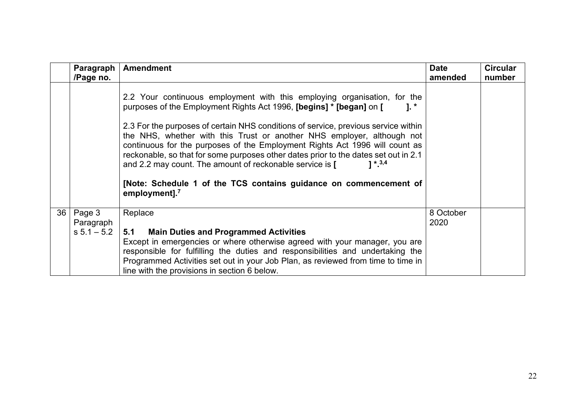|    | Paragraph<br>/Page no.               | <b>Amendment</b>                                                                                                                                                                                                                                                                                                                                                                                                                                                                                                                                                                                                                                                             | <b>Date</b><br>amended | <b>Circular</b><br>number |
|----|--------------------------------------|------------------------------------------------------------------------------------------------------------------------------------------------------------------------------------------------------------------------------------------------------------------------------------------------------------------------------------------------------------------------------------------------------------------------------------------------------------------------------------------------------------------------------------------------------------------------------------------------------------------------------------------------------------------------------|------------------------|---------------------------|
|    |                                      | 2.2 Your continuous employment with this employing organisation, for the<br>purposes of the Employment Rights Act 1996, [begins] * [began] on [<br>$1.$ $*$<br>2.3 For the purposes of certain NHS conditions of service, previous service within<br>the NHS, whether with this Trust or another NHS employer, although not<br>continuous for the purposes of the Employment Rights Act 1996 will count as<br>reckonable, so that for some purposes other dates prior to the dates set out in 2.1<br>and 2.2 may count. The amount of reckonable service is [<br>$1 * 3,4$<br>[Note: Schedule 1 of the TCS contains guidance on commencement of<br>employment]. <sup>7</sup> |                        |                           |
| 36 | Page 3<br>Paragraph<br>$s 5.1 - 5.2$ | Replace<br>5.1 Main Duties and Programmed Activities<br>Except in emergencies or where otherwise agreed with your manager, you are<br>responsible for fulfilling the duties and responsibilities and undertaking the<br>Programmed Activities set out in your Job Plan, as reviewed from time to time in<br>line with the provisions in section 6 below.                                                                                                                                                                                                                                                                                                                     | 8 October<br>2020      |                           |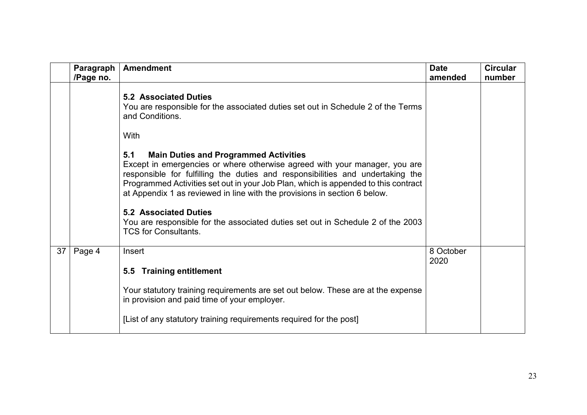|    | Paragraph<br>/Page no. | <b>Amendment</b>                                                                                                                                                                                                                                                                                                                                                                       | <b>Date</b><br>amended | <b>Circular</b><br>number |
|----|------------------------|----------------------------------------------------------------------------------------------------------------------------------------------------------------------------------------------------------------------------------------------------------------------------------------------------------------------------------------------------------------------------------------|------------------------|---------------------------|
|    |                        | <b>5.2 Associated Duties</b><br>You are responsible for the associated duties set out in Schedule 2 of the Terms<br>and Conditions.<br>With                                                                                                                                                                                                                                            |                        |                           |
|    |                        | <b>Main Duties and Programmed Activities</b><br>5.1<br>Except in emergencies or where otherwise agreed with your manager, you are<br>responsible for fulfilling the duties and responsibilities and undertaking the<br>Programmed Activities set out in your Job Plan, which is appended to this contract<br>at Appendix 1 as reviewed in line with the provisions in section 6 below. |                        |                           |
|    |                        | <b>5.2 Associated Duties</b><br>You are responsible for the associated duties set out in Schedule 2 of the 2003<br><b>TCS for Consultants.</b>                                                                                                                                                                                                                                         |                        |                           |
| 37 | Page 4                 | Insert                                                                                                                                                                                                                                                                                                                                                                                 | 8 October<br>2020      |                           |
|    |                        | <b>Training entitlement</b><br>$5.5^{\circ}$                                                                                                                                                                                                                                                                                                                                           |                        |                           |
|    |                        | Your statutory training requirements are set out below. These are at the expense<br>in provision and paid time of your employer.                                                                                                                                                                                                                                                       |                        |                           |
|    |                        | [List of any statutory training requirements required for the post]                                                                                                                                                                                                                                                                                                                    |                        |                           |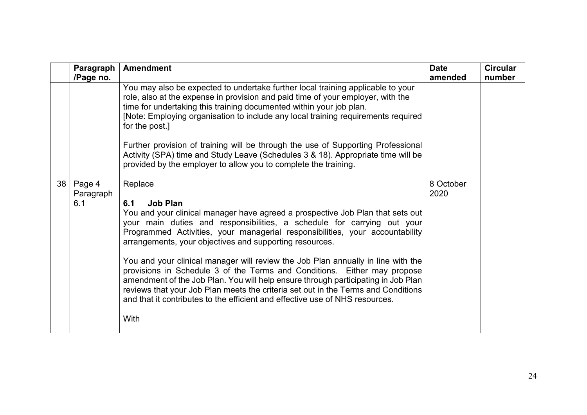|                 | Paragraph<br>/Page no.     | <b>Amendment</b>                                                                                                                                                                                                                                                                                                                                                                                                                                                                                                                                                                                                                                                                                                                                                            | <b>Date</b><br>amended | <b>Circular</b><br>number |
|-----------------|----------------------------|-----------------------------------------------------------------------------------------------------------------------------------------------------------------------------------------------------------------------------------------------------------------------------------------------------------------------------------------------------------------------------------------------------------------------------------------------------------------------------------------------------------------------------------------------------------------------------------------------------------------------------------------------------------------------------------------------------------------------------------------------------------------------------|------------------------|---------------------------|
|                 |                            | You may also be expected to undertake further local training applicable to your<br>role, also at the expense in provision and paid time of your employer, with the<br>time for undertaking this training documented within your job plan.<br>[Note: Employing organisation to include any local training requirements required<br>for the post.]<br>Further provision of training will be through the use of Supporting Professional<br>Activity (SPA) time and Study Leave (Schedules 3 & 18). Appropriate time will be<br>provided by the employer to allow you to complete the training.                                                                                                                                                                                 |                        |                           |
| 38 <sup>1</sup> | Page 4<br>Paragraph<br>6.1 | Replace<br><b>Job Plan</b><br>6.1<br>You and your clinical manager have agreed a prospective Job Plan that sets out<br>your main duties and responsibilities, a schedule for carrying out your<br>Programmed Activities, your managerial responsibilities, your accountability<br>arrangements, your objectives and supporting resources.<br>You and your clinical manager will review the Job Plan annually in line with the<br>provisions in Schedule 3 of the Terms and Conditions. Either may propose<br>amendment of the Job Plan. You will help ensure through participating in Job Plan<br>reviews that your Job Plan meets the criteria set out in the Terms and Conditions<br>and that it contributes to the efficient and effective use of NHS resources.<br>With | 8 October<br>2020      |                           |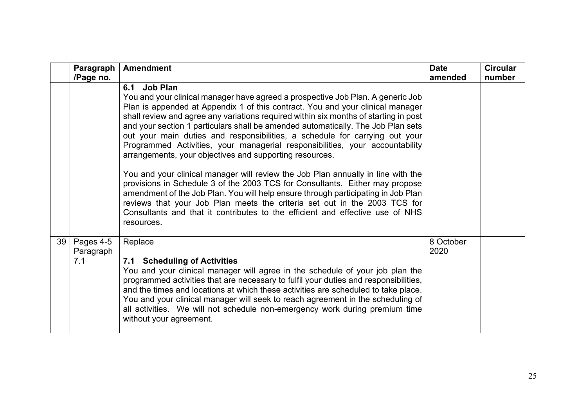|    | Paragraph<br>/Page no.        | <b>Amendment</b>                                                                                                                                                                                                                                                                                                                                                                                                                                                                                                                                                                                                                                                                                                                                                                                                                                                                                                                                                                                                             | <b>Date</b><br>amended | <b>Circular</b><br>number |
|----|-------------------------------|------------------------------------------------------------------------------------------------------------------------------------------------------------------------------------------------------------------------------------------------------------------------------------------------------------------------------------------------------------------------------------------------------------------------------------------------------------------------------------------------------------------------------------------------------------------------------------------------------------------------------------------------------------------------------------------------------------------------------------------------------------------------------------------------------------------------------------------------------------------------------------------------------------------------------------------------------------------------------------------------------------------------------|------------------------|---------------------------|
|    |                               | 6.1 Job Plan<br>You and your clinical manager have agreed a prospective Job Plan. A generic Job<br>Plan is appended at Appendix 1 of this contract. You and your clinical manager<br>shall review and agree any variations required within six months of starting in post<br>and your section 1 particulars shall be amended automatically. The Job Plan sets<br>out your main duties and responsibilities, a schedule for carrying out your<br>Programmed Activities, your managerial responsibilities, your accountability<br>arrangements, your objectives and supporting resources.<br>You and your clinical manager will review the Job Plan annually in line with the<br>provisions in Schedule 3 of the 2003 TCS for Consultants. Either may propose<br>amendment of the Job Plan. You will help ensure through participating in Job Plan<br>reviews that your Job Plan meets the criteria set out in the 2003 TCS for<br>Consultants and that it contributes to the efficient and effective use of NHS<br>resources. |                        |                           |
| 39 | Pages 4-5<br>Paragraph<br>7.1 | Replace<br>7.1 Scheduling of Activities<br>You and your clinical manager will agree in the schedule of your job plan the<br>programmed activities that are necessary to fulfil your duties and responsibilities,<br>and the times and locations at which these activities are scheduled to take place.<br>You and your clinical manager will seek to reach agreement in the scheduling of<br>all activities. We will not schedule non-emergency work during premium time<br>without your agreement.                                                                                                                                                                                                                                                                                                                                                                                                                                                                                                                          | 8 October<br>2020      |                           |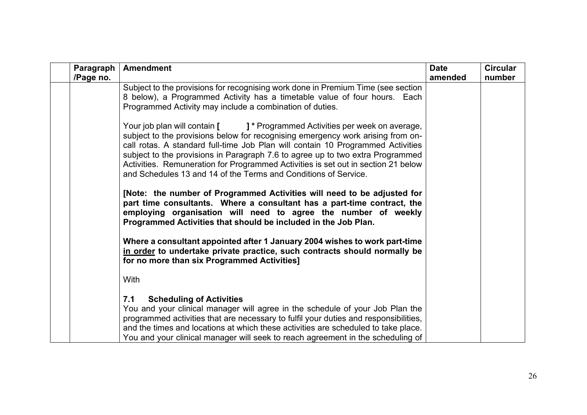| Paragraph<br>/Page no. | <b>Amendment</b>                                                                                                                                                                                                                                                                                                                                                                                                                                                                                       | <b>Date</b><br>amended | <b>Circular</b><br>number |
|------------------------|--------------------------------------------------------------------------------------------------------------------------------------------------------------------------------------------------------------------------------------------------------------------------------------------------------------------------------------------------------------------------------------------------------------------------------------------------------------------------------------------------------|------------------------|---------------------------|
|                        | Subject to the provisions for recognising work done in Premium Time (see section<br>8 below), a Programmed Activity has a timetable value of four hours. Each<br>Programmed Activity may include a combination of duties.                                                                                                                                                                                                                                                                              |                        |                           |
|                        | Your job plan will contain [ J <sup>*</sup> Programmed Activities per week on average,<br>subject to the provisions below for recognising emergency work arising from on-<br>call rotas. A standard full-time Job Plan will contain 10 Programmed Activities<br>subject to the provisions in Paragraph 7.6 to agree up to two extra Programmed<br>Activities. Remuneration for Programmed Activities is set out in section 21 below<br>and Schedules 13 and 14 of the Terms and Conditions of Service. |                        |                           |
|                        | [Note: the number of Programmed Activities will need to be adjusted for<br>part time consultants. Where a consultant has a part-time contract, the<br>employing organisation will need to agree the number of weekly<br>Programmed Activities that should be included in the Job Plan.                                                                                                                                                                                                                 |                        |                           |
|                        | Where a consultant appointed after 1 January 2004 wishes to work part-time<br>in order to undertake private practice, such contracts should normally be<br>for no more than six Programmed Activities]                                                                                                                                                                                                                                                                                                 |                        |                           |
|                        | With                                                                                                                                                                                                                                                                                                                                                                                                                                                                                                   |                        |                           |
|                        | 7.1<br><b>Scheduling of Activities</b><br>You and your clinical manager will agree in the schedule of your Job Plan the<br>programmed activities that are necessary to fulfil your duties and responsibilities,<br>and the times and locations at which these activities are scheduled to take place.<br>You and your clinical manager will seek to reach agreement in the scheduling of                                                                                                               |                        |                           |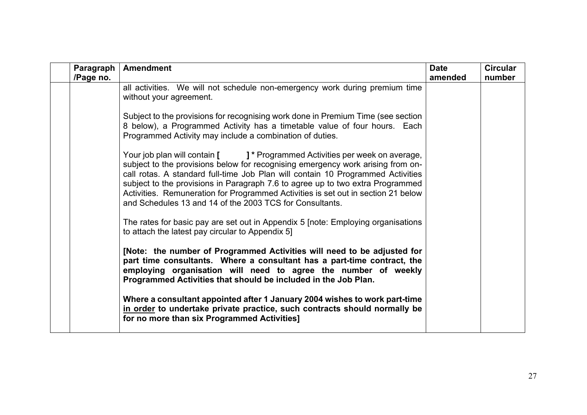| Paragraph | <b>Amendment</b>                                                                                                                                                                                                                                                                                                                                                                                                                                                                                | <b>Date</b> | <b>Circular</b> |
|-----------|-------------------------------------------------------------------------------------------------------------------------------------------------------------------------------------------------------------------------------------------------------------------------------------------------------------------------------------------------------------------------------------------------------------------------------------------------------------------------------------------------|-------------|-----------------|
| /Page no. | all activities. We will not schedule non-emergency work during premium time<br>without your agreement.                                                                                                                                                                                                                                                                                                                                                                                          | amended     | number          |
|           | Subject to the provisions for recognising work done in Premium Time (see section<br>8 below), a Programmed Activity has a timetable value of four hours. Each<br>Programmed Activity may include a combination of duties.                                                                                                                                                                                                                                                                       |             |                 |
|           | Your job plan will contain [ J <sup>*</sup> Programmed Activities per week on average,<br>subject to the provisions below for recognising emergency work arising from on-<br>call rotas. A standard full-time Job Plan will contain 10 Programmed Activities<br>subject to the provisions in Paragraph 7.6 to agree up to two extra Programmed<br>Activities. Remuneration for Programmed Activities is set out in section 21 below<br>and Schedules 13 and 14 of the 2003 TCS for Consultants. |             |                 |
|           | The rates for basic pay are set out in Appendix 5 [note: Employing organisations<br>to attach the latest pay circular to Appendix 5]                                                                                                                                                                                                                                                                                                                                                            |             |                 |
|           | [Note: the number of Programmed Activities will need to be adjusted for<br>part time consultants. Where a consultant has a part-time contract, the<br>employing organisation will need to agree the number of weekly<br>Programmed Activities that should be included in the Job Plan.                                                                                                                                                                                                          |             |                 |
|           | Where a consultant appointed after 1 January 2004 wishes to work part-time<br>in order to undertake private practice, such contracts should normally be<br>for no more than six Programmed Activities]                                                                                                                                                                                                                                                                                          |             |                 |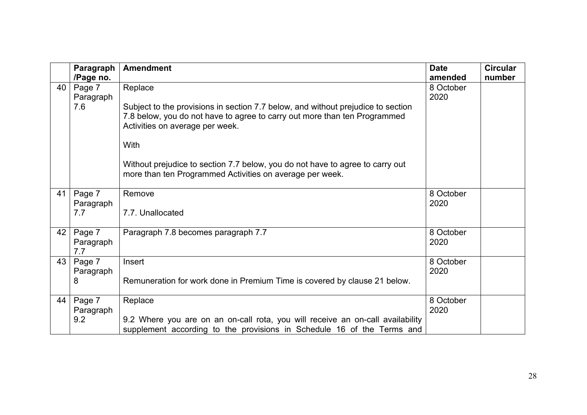|    | Paragraph | <b>Amendment</b>                                                                                                                                                                                 | <b>Date</b> | <b>Circular</b> |
|----|-----------|--------------------------------------------------------------------------------------------------------------------------------------------------------------------------------------------------|-------------|-----------------|
|    | /Page no. |                                                                                                                                                                                                  | amended     | number          |
| 40 | Page 7    | Replace                                                                                                                                                                                          | 8 October   |                 |
|    | Paragraph |                                                                                                                                                                                                  | 2020        |                 |
|    | 7.6       | Subject to the provisions in section 7.7 below, and without prejudice to section<br>7.8 below, you do not have to agree to carry out more than ten Programmed<br>Activities on average per week. |             |                 |
|    |           | With                                                                                                                                                                                             |             |                 |
|    |           | Without prejudice to section 7.7 below, you do not have to agree to carry out<br>more than ten Programmed Activities on average per week.                                                        |             |                 |
| 41 | Page 7    | Remove                                                                                                                                                                                           | 8 October   |                 |
|    | Paragraph |                                                                                                                                                                                                  | 2020        |                 |
|    | 7.7       | 7.7. Unallocated                                                                                                                                                                                 |             |                 |
| 42 | Page 7    | Paragraph 7.8 becomes paragraph 7.7                                                                                                                                                              | 8 October   |                 |
|    | Paragraph |                                                                                                                                                                                                  | 2020        |                 |
|    | 7.7       |                                                                                                                                                                                                  |             |                 |
| 43 | Page 7    | Insert                                                                                                                                                                                           | 8 October   |                 |
|    | Paragraph |                                                                                                                                                                                                  | 2020        |                 |
|    | 8         | Remuneration for work done in Premium Time is covered by clause 21 below.                                                                                                                        |             |                 |
|    |           |                                                                                                                                                                                                  |             |                 |
| 44 | Page 7    | Replace                                                                                                                                                                                          | 8 October   |                 |
|    | Paragraph |                                                                                                                                                                                                  | 2020        |                 |
|    | 9.2       | 9.2 Where you are on an on-call rota, you will receive an on-call availability                                                                                                                   |             |                 |
|    |           | supplement according to the provisions in Schedule 16 of the Terms and                                                                                                                           |             |                 |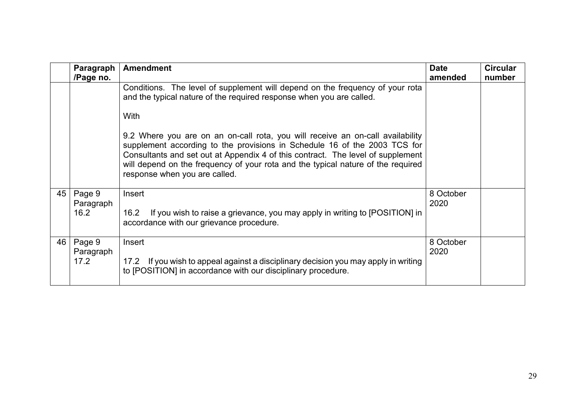|    | Paragraph<br>/Page no.      | <b>Amendment</b>                                                                                                                                                                                                                                                                                                                                                                                                                                                                                                                     | <b>Date</b><br>amended | <b>Circular</b><br>number |
|----|-----------------------------|--------------------------------------------------------------------------------------------------------------------------------------------------------------------------------------------------------------------------------------------------------------------------------------------------------------------------------------------------------------------------------------------------------------------------------------------------------------------------------------------------------------------------------------|------------------------|---------------------------|
|    |                             | Conditions. The level of supplement will depend on the frequency of your rota<br>and the typical nature of the required response when you are called.<br>With<br>9.2 Where you are on an on-call rota, you will receive an on-call availability<br>supplement according to the provisions in Schedule 16 of the 2003 TCS for<br>Consultants and set out at Appendix 4 of this contract. The level of supplement<br>will depend on the frequency of your rota and the typical nature of the required<br>response when you are called. |                        |                           |
| 45 | Page 9<br>Paragraph<br>16.2 | Insert<br>If you wish to raise a grievance, you may apply in writing to [POSITION] in<br>16.2<br>accordance with our grievance procedure.                                                                                                                                                                                                                                                                                                                                                                                            | 8 October<br>2020      |                           |
| 46 | Page 9<br>Paragraph<br>17.2 | Insert<br>17.2 If you wish to appeal against a disciplinary decision you may apply in writing<br>to [POSITION] in accordance with our disciplinary procedure.                                                                                                                                                                                                                                                                                                                                                                        | 8 October<br>2020      |                           |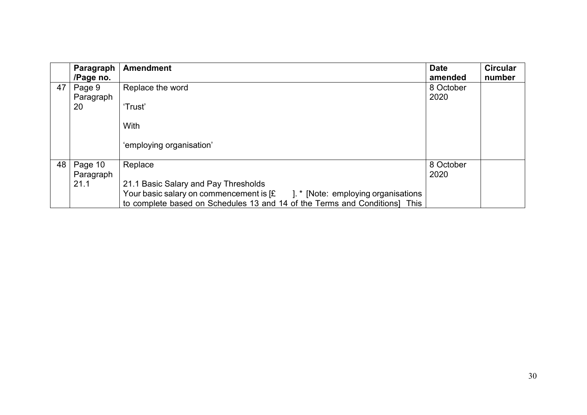|    | Paragraph<br>/Page no.    | <b>Amendment</b>                                                                                                                                                              | <b>Date</b><br>amended | <b>Circular</b><br>number |
|----|---------------------------|-------------------------------------------------------------------------------------------------------------------------------------------------------------------------------|------------------------|---------------------------|
| 47 | Page 9<br>Paragraph<br>20 | Replace the word<br>'Trust'                                                                                                                                                   | 8 October<br>2020      |                           |
|    |                           | With                                                                                                                                                                          |                        |                           |
|    |                           | 'employing organisation'                                                                                                                                                      |                        |                           |
| 48 | Page 10<br>Paragraph      | Replace                                                                                                                                                                       | 8 October<br>2020      |                           |
|    | 21.1                      | 21.1 Basic Salary and Pay Thresholds                                                                                                                                          |                        |                           |
|    |                           | Your basic salary on commencement is $f$ [ $\mathcal{E}$ ]. * [Note: employing organisations<br>to complete based on Schedules 13 and 14 of the Terms and Conditions]<br>This |                        |                           |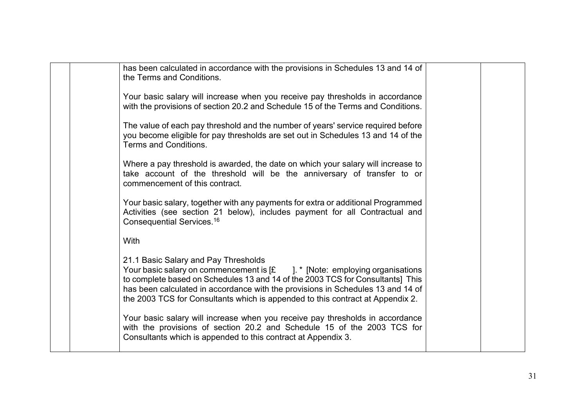| has been calculated in accordance with the provisions in Schedules 13 and 14 of<br>the Terms and Conditions.<br>Your basic salary will increase when you receive pay thresholds in accordance<br>with the provisions of section 20.2 and Schedule 15 of the Terms and Conditions.<br>The value of each pay threshold and the number of years' service required before<br>you become eligible for pay thresholds are set out in Schedules 13 and 14 of the<br>Terms and Conditions.<br>Where a pay threshold is awarded, the date on which your salary will increase to<br>take account of the threshold will be the anniversary of transfer to or<br>commencement of this contract.<br>Your basic salary, together with any payments for extra or additional Programmed<br>Activities (see section 21 below), includes payment for all Contractual and<br>Consequential Services. <sup>16</sup><br>With<br>21.1 Basic Salary and Pay Thresholds<br>Your basic salary on commencement is $\left[\mathbf{E}\right]$ $\mathbf{F}$ [Note: employing organisations]<br>to complete based on Schedules 13 and 14 of the 2003 TCS for Consultants] This<br>has been calculated in accordance with the provisions in Schedules 13 and 14 of<br>the 2003 TCS for Consultants which is appended to this contract at Appendix 2.<br>Your basic salary will increase when you receive pay thresholds in accordance<br>with the provisions of section 20.2 and Schedule 15 of the 2003 TCS for<br>Consultants which is appended to this contract at Appendix 3. |  |  |  |
|----------------------------------------------------------------------------------------------------------------------------------------------------------------------------------------------------------------------------------------------------------------------------------------------------------------------------------------------------------------------------------------------------------------------------------------------------------------------------------------------------------------------------------------------------------------------------------------------------------------------------------------------------------------------------------------------------------------------------------------------------------------------------------------------------------------------------------------------------------------------------------------------------------------------------------------------------------------------------------------------------------------------------------------------------------------------------------------------------------------------------------------------------------------------------------------------------------------------------------------------------------------------------------------------------------------------------------------------------------------------------------------------------------------------------------------------------------------------------------------------------------------------------------------------------|--|--|--|
|                                                                                                                                                                                                                                                                                                                                                                                                                                                                                                                                                                                                                                                                                                                                                                                                                                                                                                                                                                                                                                                                                                                                                                                                                                                                                                                                                                                                                                                                                                                                                    |  |  |  |
|                                                                                                                                                                                                                                                                                                                                                                                                                                                                                                                                                                                                                                                                                                                                                                                                                                                                                                                                                                                                                                                                                                                                                                                                                                                                                                                                                                                                                                                                                                                                                    |  |  |  |
|                                                                                                                                                                                                                                                                                                                                                                                                                                                                                                                                                                                                                                                                                                                                                                                                                                                                                                                                                                                                                                                                                                                                                                                                                                                                                                                                                                                                                                                                                                                                                    |  |  |  |
|                                                                                                                                                                                                                                                                                                                                                                                                                                                                                                                                                                                                                                                                                                                                                                                                                                                                                                                                                                                                                                                                                                                                                                                                                                                                                                                                                                                                                                                                                                                                                    |  |  |  |
|                                                                                                                                                                                                                                                                                                                                                                                                                                                                                                                                                                                                                                                                                                                                                                                                                                                                                                                                                                                                                                                                                                                                                                                                                                                                                                                                                                                                                                                                                                                                                    |  |  |  |
|                                                                                                                                                                                                                                                                                                                                                                                                                                                                                                                                                                                                                                                                                                                                                                                                                                                                                                                                                                                                                                                                                                                                                                                                                                                                                                                                                                                                                                                                                                                                                    |  |  |  |
|                                                                                                                                                                                                                                                                                                                                                                                                                                                                                                                                                                                                                                                                                                                                                                                                                                                                                                                                                                                                                                                                                                                                                                                                                                                                                                                                                                                                                                                                                                                                                    |  |  |  |
|                                                                                                                                                                                                                                                                                                                                                                                                                                                                                                                                                                                                                                                                                                                                                                                                                                                                                                                                                                                                                                                                                                                                                                                                                                                                                                                                                                                                                                                                                                                                                    |  |  |  |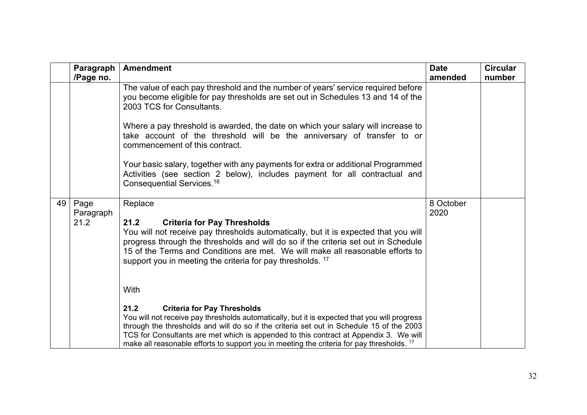|    | Paragraph<br>/Page no.    | <b>Amendment</b>                                                                                                                                                                                                                                                                                                                                                                                                                                | <b>Date</b><br>amended | <b>Circular</b><br>number |
|----|---------------------------|-------------------------------------------------------------------------------------------------------------------------------------------------------------------------------------------------------------------------------------------------------------------------------------------------------------------------------------------------------------------------------------------------------------------------------------------------|------------------------|---------------------------|
|    |                           | The value of each pay threshold and the number of years' service required before<br>you become eligible for pay thresholds are set out in Schedules 13 and 14 of the<br>2003 TCS for Consultants.                                                                                                                                                                                                                                               |                        |                           |
|    |                           | Where a pay threshold is awarded, the date on which your salary will increase to<br>take account of the threshold will be the anniversary of transfer to or<br>commencement of this contract.                                                                                                                                                                                                                                                   |                        |                           |
|    |                           | Your basic salary, together with any payments for extra or additional Programmed<br>Activities (see section 2 below), includes payment for all contractual and<br>Consequential Services. <sup>16</sup>                                                                                                                                                                                                                                         |                        |                           |
| 49 | Page<br>Paragraph<br>21.2 | Replace<br><b>Criteria for Pay Thresholds</b><br>21.2<br>You will not receive pay thresholds automatically, but it is expected that you will<br>progress through the thresholds and will do so if the criteria set out in Schedule<br>15 of the Terms and Conditions are met. We will make all reasonable efforts to<br>support you in meeting the criteria for pay thresholds. <sup>17</sup>                                                   | 8 October<br>2020      |                           |
|    |                           | With<br>21.2<br><b>Criteria for Pay Thresholds</b><br>You will not receive pay thresholds automatically, but it is expected that you will progress<br>through the thresholds and will do so if the criteria set out in Schedule 15 of the 2003<br>TCS for Consultants are met which is appended to this contract at Appendix 3. We will<br>make all reasonable efforts to support you in meeting the criteria for pay thresholds. <sup>17</sup> |                        |                           |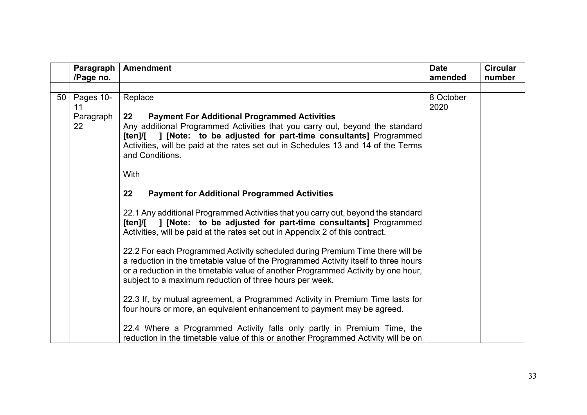|                 | Paragraph       | <b>Amendment</b>                                                                                                                                                                                                                                                                                                                | <b>Date</b>       | <b>Circular</b> |
|-----------------|-----------------|---------------------------------------------------------------------------------------------------------------------------------------------------------------------------------------------------------------------------------------------------------------------------------------------------------------------------------|-------------------|-----------------|
|                 | /Page no.       |                                                                                                                                                                                                                                                                                                                                 | amended           | number          |
|                 |                 |                                                                                                                                                                                                                                                                                                                                 |                   |                 |
| 50 <sup>1</sup> | Pages 10-<br>11 | Replace                                                                                                                                                                                                                                                                                                                         | 8 October<br>2020 |                 |
|                 | Paragraph<br>22 | <b>Payment For Additional Programmed Activities</b><br>$22 \,$<br>Any additional Programmed Activities that you carry out, beyond the standard<br>[ten]/[ ] [Note: to be adjusted for part-time consultants] Programmed<br>Activities, will be paid at the rates set out in Schedules 13 and 14 of the Terms<br>and Conditions. |                   |                 |
|                 |                 | <b>With</b>                                                                                                                                                                                                                                                                                                                     |                   |                 |
|                 |                 | 22<br><b>Payment for Additional Programmed Activities</b>                                                                                                                                                                                                                                                                       |                   |                 |
|                 |                 | 22.1 Any additional Programmed Activities that you carry out, beyond the standard<br>[ten]/[ ] [Note: to be adjusted for part-time consultants] Programmed<br>Activities, will be paid at the rates set out in Appendix 2 of this contract.                                                                                     |                   |                 |
|                 |                 | 22.2 For each Programmed Activity scheduled during Premium Time there will be<br>a reduction in the timetable value of the Programmed Activity itself to three hours<br>or a reduction in the timetable value of another Programmed Activity by one hour,<br>subject to a maximum reduction of three hours per week.            |                   |                 |
|                 |                 | 22.3 If, by mutual agreement, a Programmed Activity in Premium Time lasts for<br>four hours or more, an equivalent enhancement to payment may be agreed.                                                                                                                                                                        |                   |                 |
|                 |                 | 22.4 Where a Programmed Activity falls only partly in Premium Time, the<br>reduction in the timetable value of this or another Programmed Activity will be on                                                                                                                                                                   |                   |                 |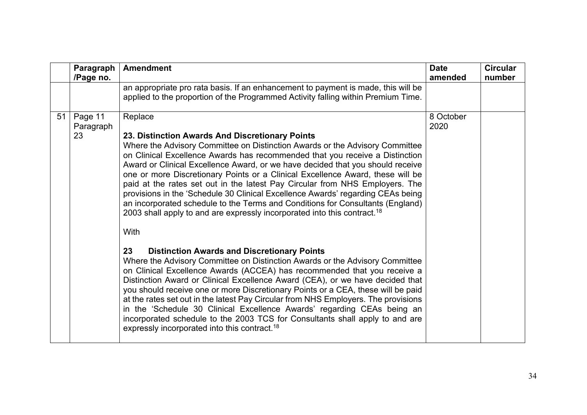|    | Paragraph<br>/Page no.     | <b>Amendment</b>                                                                                                                                                                                                                                                                                                                                                                                                                                                                                                                                                                                                                                                                                                                                                                                                | <b>Date</b><br>amended | <b>Circular</b><br>number |
|----|----------------------------|-----------------------------------------------------------------------------------------------------------------------------------------------------------------------------------------------------------------------------------------------------------------------------------------------------------------------------------------------------------------------------------------------------------------------------------------------------------------------------------------------------------------------------------------------------------------------------------------------------------------------------------------------------------------------------------------------------------------------------------------------------------------------------------------------------------------|------------------------|---------------------------|
|    |                            | an appropriate pro rata basis. If an enhancement to payment is made, this will be<br>applied to the proportion of the Programmed Activity falling within Premium Time.                                                                                                                                                                                                                                                                                                                                                                                                                                                                                                                                                                                                                                          |                        |                           |
| 51 | Page 11<br>Paragraph<br>23 | Replace<br>23. Distinction Awards And Discretionary Points<br>Where the Advisory Committee on Distinction Awards or the Advisory Committee<br>on Clinical Excellence Awards has recommended that you receive a Distinction<br>Award or Clinical Excellence Award, or we have decided that you should receive<br>one or more Discretionary Points or a Clinical Excellence Award, these will be<br>paid at the rates set out in the latest Pay Circular from NHS Employers. The<br>provisions in the 'Schedule 30 Clinical Excellence Awards' regarding CEAs being<br>an incorporated schedule to the Terms and Conditions for Consultants (England)<br>2003 shall apply to and are expressly incorporated into this contract. <sup>18</sup><br>With<br>23<br><b>Distinction Awards and Discretionary Points</b> | 8 October<br>2020      |                           |
|    |                            | Where the Advisory Committee on Distinction Awards or the Advisory Committee<br>on Clinical Excellence Awards (ACCEA) has recommended that you receive a<br>Distinction Award or Clinical Excellence Award (CEA), or we have decided that<br>you should receive one or more Discretionary Points or a CEA, these will be paid<br>at the rates set out in the latest Pay Circular from NHS Employers. The provisions<br>in the 'Schedule 30 Clinical Excellence Awards' regarding CEAs being an<br>incorporated schedule to the 2003 TCS for Consultants shall apply to and are<br>expressly incorporated into this contract. <sup>18</sup>                                                                                                                                                                      |                        |                           |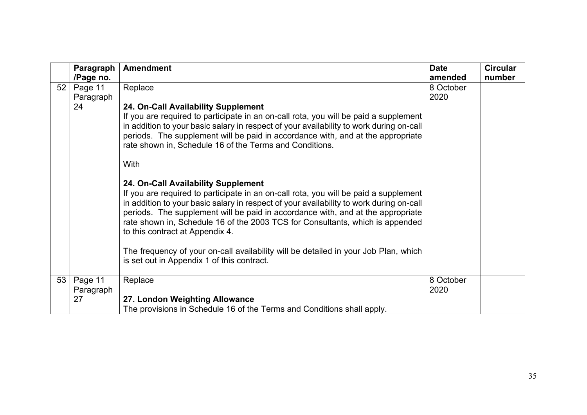|                 | Paragraph                  | <b>Amendment</b>                                                                                                                                                                                                                                                                                                                                                                                                                                                                                                                                                   | <b>Date</b>       | <b>Circular</b> |
|-----------------|----------------------------|--------------------------------------------------------------------------------------------------------------------------------------------------------------------------------------------------------------------------------------------------------------------------------------------------------------------------------------------------------------------------------------------------------------------------------------------------------------------------------------------------------------------------------------------------------------------|-------------------|-----------------|
|                 | /Page no.                  |                                                                                                                                                                                                                                                                                                                                                                                                                                                                                                                                                                    | amended           | number          |
| 52 <sub>2</sub> | Page 11<br>Paragraph<br>24 | Replace<br>24. On-Call Availability Supplement<br>If you are required to participate in an on-call rota, you will be paid a supplement<br>in addition to your basic salary in respect of your availability to work during on-call<br>periods. The supplement will be paid in accordance with, and at the appropriate<br>rate shown in, Schedule 16 of the Terms and Conditions.<br>With                                                                                                                                                                            | 8 October<br>2020 |                 |
|                 |                            | 24. On-Call Availability Supplement<br>If you are required to participate in an on-call rota, you will be paid a supplement<br>in addition to your basic salary in respect of your availability to work during on-call<br>periods. The supplement will be paid in accordance with, and at the appropriate<br>rate shown in, Schedule 16 of the 2003 TCS for Consultants, which is appended<br>to this contract at Appendix 4.<br>The frequency of your on-call availability will be detailed in your Job Plan, which<br>is set out in Appendix 1 of this contract. |                   |                 |
| 53              | Page 11<br>Paragraph       | Replace                                                                                                                                                                                                                                                                                                                                                                                                                                                                                                                                                            | 8 October<br>2020 |                 |
|                 | 27                         | 27. London Weighting Allowance                                                                                                                                                                                                                                                                                                                                                                                                                                                                                                                                     |                   |                 |
|                 |                            | The provisions in Schedule 16 of the Terms and Conditions shall apply.                                                                                                                                                                                                                                                                                                                                                                                                                                                                                             |                   |                 |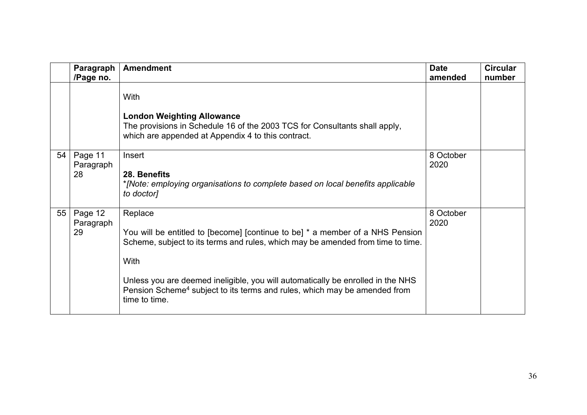|    | Paragraph<br>/Page no.     | <b>Amendment</b>                                                                                                                                                                                                                                                                                                                                                                 | <b>Date</b><br>amended | <b>Circular</b><br>number |
|----|----------------------------|----------------------------------------------------------------------------------------------------------------------------------------------------------------------------------------------------------------------------------------------------------------------------------------------------------------------------------------------------------------------------------|------------------------|---------------------------|
|    |                            | With<br><b>London Weighting Allowance</b><br>The provisions in Schedule 16 of the 2003 TCS for Consultants shall apply,<br>which are appended at Appendix 4 to this contract.                                                                                                                                                                                                    |                        |                           |
| 54 | Page 11<br>Paragraph<br>28 | Insert<br>28. Benefits<br>*[Note: employing organisations to complete based on local benefits applicable<br>to doctor]                                                                                                                                                                                                                                                           | 8 October<br>2020      |                           |
| 55 | Page 12<br>Paragraph<br>29 | Replace<br>You will be entitled to [become] [continue to be] * a member of a NHS Pension<br>Scheme, subject to its terms and rules, which may be amended from time to time.<br>With<br>Unless you are deemed ineligible, you will automatically be enrolled in the NHS<br>Pension Scheme <sup>4</sup> subject to its terms and rules, which may be amended from<br>time to time. | 8 October<br>2020      |                           |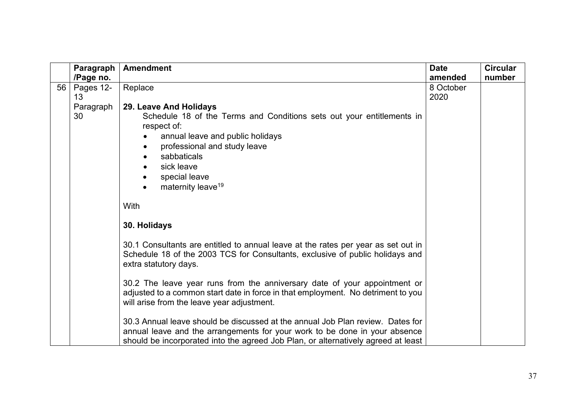|                 | Paragraph                          | <b>Amendment</b>                                                                                                                                                                                                                                  | <b>Date</b>       | <b>Circular</b> |
|-----------------|------------------------------------|---------------------------------------------------------------------------------------------------------------------------------------------------------------------------------------------------------------------------------------------------|-------------------|-----------------|
|                 | /Page no.                          |                                                                                                                                                                                                                                                   | amended           | number          |
| 56 <sup>1</sup> | Pages 12-<br>13<br>Paragraph<br>30 | Replace<br>29. Leave And Holidays<br>Schedule 18 of the Terms and Conditions sets out your entitlements in                                                                                                                                        | 8 October<br>2020 |                 |
|                 |                                    | respect of:<br>annual leave and public holidays<br>professional and study leave<br>sabbaticals<br>sick leave<br>special leave<br>maternity leave <sup>19</sup>                                                                                    |                   |                 |
|                 |                                    | With                                                                                                                                                                                                                                              |                   |                 |
|                 |                                    | 30. Holidays                                                                                                                                                                                                                                      |                   |                 |
|                 |                                    | 30.1 Consultants are entitled to annual leave at the rates per year as set out in<br>Schedule 18 of the 2003 TCS for Consultants, exclusive of public holidays and<br>extra statutory days.                                                       |                   |                 |
|                 |                                    | 30.2 The leave year runs from the anniversary date of your appointment or<br>adjusted to a common start date in force in that employment. No detriment to you<br>will arise from the leave year adjustment.                                       |                   |                 |
|                 |                                    | 30.3 Annual leave should be discussed at the annual Job Plan review. Dates for<br>annual leave and the arrangements for your work to be done in your absence<br>should be incorporated into the agreed Job Plan, or alternatively agreed at least |                   |                 |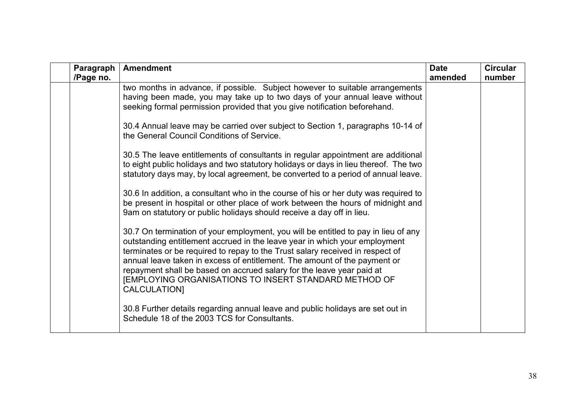| Paragraph<br>/Page no. | <b>Amendment</b>                                                                                                                                                                                                                                                                                                                                                                                                                                                                 | <b>Date</b><br>amended | <b>Circular</b><br>number |
|------------------------|----------------------------------------------------------------------------------------------------------------------------------------------------------------------------------------------------------------------------------------------------------------------------------------------------------------------------------------------------------------------------------------------------------------------------------------------------------------------------------|------------------------|---------------------------|
|                        | two months in advance, if possible. Subject however to suitable arrangements<br>having been made, you may take up to two days of your annual leave without<br>seeking formal permission provided that you give notification beforehand.                                                                                                                                                                                                                                          |                        |                           |
|                        | 30.4 Annual leave may be carried over subject to Section 1, paragraphs 10-14 of<br>the General Council Conditions of Service.                                                                                                                                                                                                                                                                                                                                                    |                        |                           |
|                        | 30.5 The leave entitlements of consultants in regular appointment are additional<br>to eight public holidays and two statutory holidays or days in lieu thereof. The two<br>statutory days may, by local agreement, be converted to a period of annual leave.                                                                                                                                                                                                                    |                        |                           |
|                        | 30.6 In addition, a consultant who in the course of his or her duty was required to<br>be present in hospital or other place of work between the hours of midnight and<br>9am on statutory or public holidays should receive a day off in lieu.                                                                                                                                                                                                                                  |                        |                           |
|                        | 30.7 On termination of your employment, you will be entitled to pay in lieu of any<br>outstanding entitlement accrued in the leave year in which your employment<br>terminates or be required to repay to the Trust salary received in respect of<br>annual leave taken in excess of entitlement. The amount of the payment or<br>repayment shall be based on accrued salary for the leave year paid at<br>[EMPLOYING ORGANISATIONS TO INSERT STANDARD METHOD OF<br>CALCULATION] |                        |                           |
|                        | 30.8 Further details regarding annual leave and public holidays are set out in<br>Schedule 18 of the 2003 TCS for Consultants.                                                                                                                                                                                                                                                                                                                                                   |                        |                           |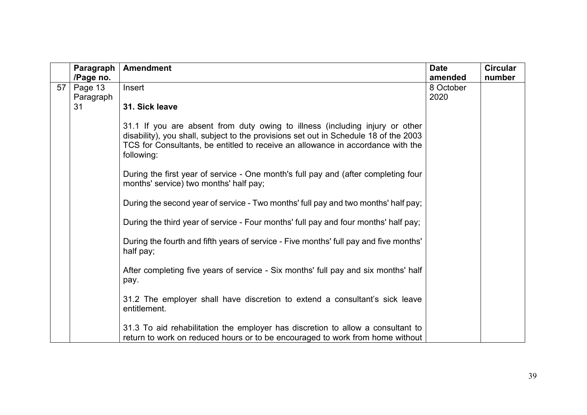|    | Paragraph | <b>Amendment</b>                                                                                                                                                                                                                                                      | <b>Date</b> | <b>Circular</b> |
|----|-----------|-----------------------------------------------------------------------------------------------------------------------------------------------------------------------------------------------------------------------------------------------------------------------|-------------|-----------------|
|    | /Page no. |                                                                                                                                                                                                                                                                       | amended     | number          |
| 57 | Page 13   | Insert                                                                                                                                                                                                                                                                | 8 October   |                 |
|    | Paragraph |                                                                                                                                                                                                                                                                       | 2020        |                 |
|    | 31        | 31. Sick leave                                                                                                                                                                                                                                                        |             |                 |
|    |           | 31.1 If you are absent from duty owing to illness (including injury or other<br>disability), you shall, subject to the provisions set out in Schedule 18 of the 2003<br>TCS for Consultants, be entitled to receive an allowance in accordance with the<br>following: |             |                 |
|    |           | During the first year of service - One month's full pay and (after completing four<br>months' service) two months' half pay;                                                                                                                                          |             |                 |
|    |           | During the second year of service - Two months' full pay and two months' half pay;                                                                                                                                                                                    |             |                 |
|    |           | During the third year of service - Four months' full pay and four months' half pay;                                                                                                                                                                                   |             |                 |
|    |           | During the fourth and fifth years of service - Five months' full pay and five months'<br>half pay;                                                                                                                                                                    |             |                 |
|    |           | After completing five years of service - Six months' full pay and six months' half<br>pay.                                                                                                                                                                            |             |                 |
|    |           | 31.2 The employer shall have discretion to extend a consultant's sick leave<br>entitlement.                                                                                                                                                                           |             |                 |
|    |           | 31.3 To aid rehabilitation the employer has discretion to allow a consultant to<br>return to work on reduced hours or to be encouraged to work from home without                                                                                                      |             |                 |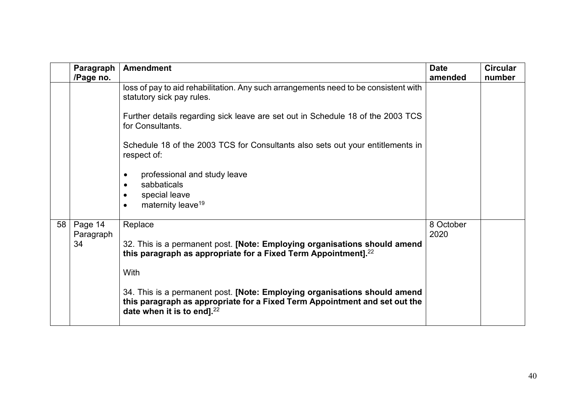|    | Paragraph<br>/Page no.     | <b>Amendment</b>                                                                                                                                                                            | <b>Date</b><br>amended | <b>Circular</b><br>number |
|----|----------------------------|---------------------------------------------------------------------------------------------------------------------------------------------------------------------------------------------|------------------------|---------------------------|
|    |                            | loss of pay to aid rehabilitation. Any such arrangements need to be consistent with<br>statutory sick pay rules.                                                                            |                        |                           |
|    |                            | Further details regarding sick leave are set out in Schedule 18 of the 2003 TCS<br>for Consultants.                                                                                         |                        |                           |
|    |                            | Schedule 18 of the 2003 TCS for Consultants also sets out your entitlements in<br>respect of:                                                                                               |                        |                           |
|    |                            | professional and study leave<br>sabbaticals<br>special leave<br>maternity leave <sup>19</sup>                                                                                               |                        |                           |
| 58 | Page 14<br>Paragraph<br>34 | Replace<br>32. This is a permanent post. [Note: Employing organisations should amend<br>this paragraph as appropriate for a Fixed Term Appointment]. $^{22}$                                | 8 October<br>2020      |                           |
|    |                            | With                                                                                                                                                                                        |                        |                           |
|    |                            | 34. This is a permanent post. [Note: Employing organisations should amend<br>this paragraph as appropriate for a Fixed Term Appointment and set out the<br>date when it is to end]. $^{22}$ |                        |                           |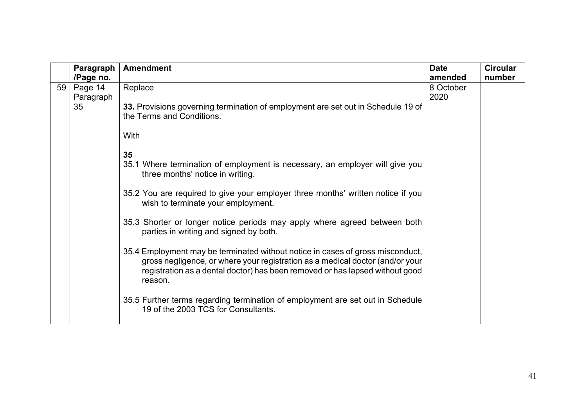|    | Paragraph | <b>Amendment</b>                                                                                                                                                                                                                                           | <b>Date</b> | <b>Circular</b> |
|----|-----------|------------------------------------------------------------------------------------------------------------------------------------------------------------------------------------------------------------------------------------------------------------|-------------|-----------------|
|    | /Page no. |                                                                                                                                                                                                                                                            | amended     | number          |
| 59 | Page 14   | Replace                                                                                                                                                                                                                                                    | 8 October   |                 |
|    | Paragraph |                                                                                                                                                                                                                                                            | 2020        |                 |
|    | 35        | 33. Provisions governing termination of employment are set out in Schedule 19 of<br>the Terms and Conditions.                                                                                                                                              |             |                 |
|    |           | With                                                                                                                                                                                                                                                       |             |                 |
|    |           | 35                                                                                                                                                                                                                                                         |             |                 |
|    |           | 35.1 Where termination of employment is necessary, an employer will give you<br>three months' notice in writing.                                                                                                                                           |             |                 |
|    |           | 35.2 You are required to give your employer three months' written notice if you<br>wish to terminate your employment.                                                                                                                                      |             |                 |
|    |           | 35.3 Shorter or longer notice periods may apply where agreed between both<br>parties in writing and signed by both.                                                                                                                                        |             |                 |
|    |           | 35.4 Employment may be terminated without notice in cases of gross misconduct,<br>gross negligence, or where your registration as a medical doctor (and/or your<br>registration as a dental doctor) has been removed or has lapsed without good<br>reason. |             |                 |
|    |           | 35.5 Further terms regarding termination of employment are set out in Schedule<br>19 of the 2003 TCS for Consultants.                                                                                                                                      |             |                 |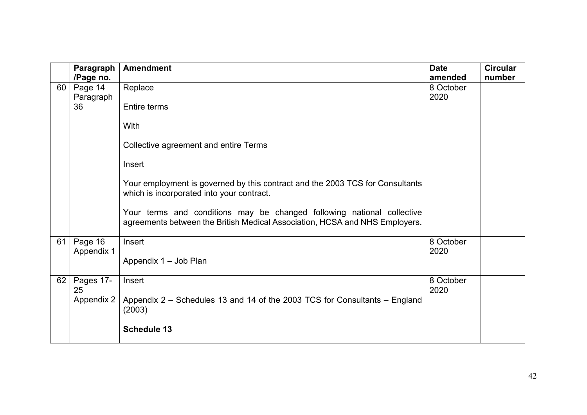|    | Paragraph  | <b>Amendment</b>                                                                                                                                      | <b>Date</b> | <b>Circular</b> |
|----|------------|-------------------------------------------------------------------------------------------------------------------------------------------------------|-------------|-----------------|
|    | /Page no.  |                                                                                                                                                       | amended     | number          |
| 60 | Page 14    | Replace                                                                                                                                               | 8 October   |                 |
|    | Paragraph  |                                                                                                                                                       | 2020        |                 |
|    | 36         | <b>Entire terms</b>                                                                                                                                   |             |                 |
|    |            | With                                                                                                                                                  |             |                 |
|    |            | Collective agreement and entire Terms                                                                                                                 |             |                 |
|    |            | Insert                                                                                                                                                |             |                 |
|    |            | Your employment is governed by this contract and the 2003 TCS for Consultants<br>which is incorporated into your contract.                            |             |                 |
|    |            | Your terms and conditions may be changed following national collective<br>agreements between the British Medical Association, HCSA and NHS Employers. |             |                 |
| 61 | Page 16    | Insert                                                                                                                                                | 8 October   |                 |
|    | Appendix 1 |                                                                                                                                                       | 2020        |                 |
|    |            | Appendix 1 - Job Plan                                                                                                                                 |             |                 |
| 62 | Pages 17-  | Insert                                                                                                                                                | 8 October   |                 |
|    | 25         |                                                                                                                                                       | 2020        |                 |
|    | Appendix 2 | Appendix 2 – Schedules 13 and 14 of the 2003 TCS for Consultants – England<br>(2003)                                                                  |             |                 |
|    |            | <b>Schedule 13</b>                                                                                                                                    |             |                 |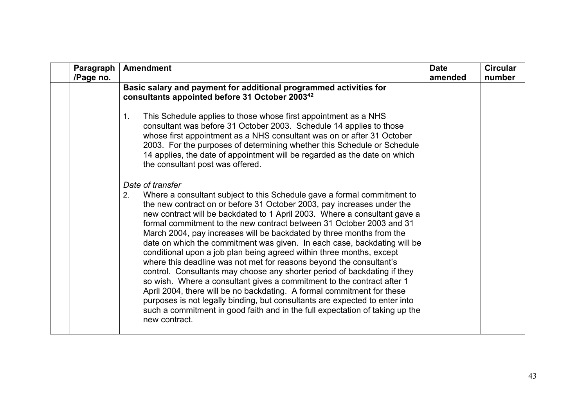| Paragraph<br>/Page no. | <b>Amendment</b>                                                                                                                                                                                                                                                                                                                                                                                                                                                                                                                                                                                                                                                                                                                                                                                                                                                                                                                                                                                                                                    | <b>Date</b><br>amended | <b>Circular</b><br>number |
|------------------------|-----------------------------------------------------------------------------------------------------------------------------------------------------------------------------------------------------------------------------------------------------------------------------------------------------------------------------------------------------------------------------------------------------------------------------------------------------------------------------------------------------------------------------------------------------------------------------------------------------------------------------------------------------------------------------------------------------------------------------------------------------------------------------------------------------------------------------------------------------------------------------------------------------------------------------------------------------------------------------------------------------------------------------------------------------|------------------------|---------------------------|
|                        | Basic salary and payment for additional programmed activities for<br>consultants appointed before 31 October 2003 <sup>42</sup>                                                                                                                                                                                                                                                                                                                                                                                                                                                                                                                                                                                                                                                                                                                                                                                                                                                                                                                     |                        |                           |
|                        | This Schedule applies to those whose first appointment as a NHS<br>1.<br>consultant was before 31 October 2003. Schedule 14 applies to those<br>whose first appointment as a NHS consultant was on or after 31 October<br>2003. For the purposes of determining whether this Schedule or Schedule<br>14 applies, the date of appointment will be regarded as the date on which<br>the consultant post was offered.                                                                                                                                                                                                                                                                                                                                                                                                                                                                                                                                                                                                                                  |                        |                           |
|                        | Date of transfer<br>Where a consultant subject to this Schedule gave a formal commitment to<br>2.<br>the new contract on or before 31 October 2003, pay increases under the<br>new contract will be backdated to 1 April 2003. Where a consultant gave a<br>formal commitment to the new contract between 31 October 2003 and 31<br>March 2004, pay increases will be backdated by three months from the<br>date on which the commitment was given. In each case, backdating will be<br>conditional upon a job plan being agreed within three months, except<br>where this deadline was not met for reasons beyond the consultant's<br>control. Consultants may choose any shorter period of backdating if they<br>so wish. Where a consultant gives a commitment to the contract after 1<br>April 2004, there will be no backdating. A formal commitment for these<br>purposes is not legally binding, but consultants are expected to enter into<br>such a commitment in good faith and in the full expectation of taking up the<br>new contract. |                        |                           |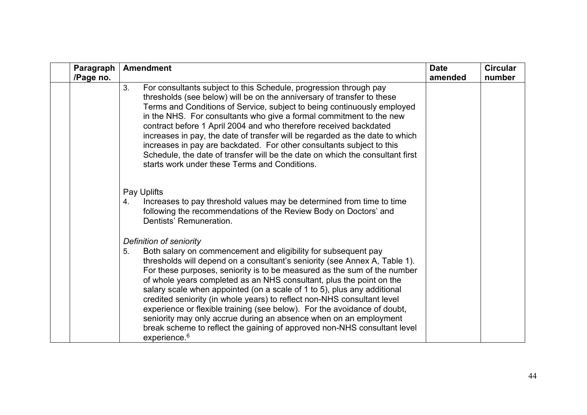| Paragraph<br>/Page no. | <b>Amendment</b>                                                                                                                                                                                                                                                                                                                                                                                                                                                                                                                                                                                                                                                                                                                                 | <b>Date</b><br>amended | <b>Circular</b><br>number |
|------------------------|--------------------------------------------------------------------------------------------------------------------------------------------------------------------------------------------------------------------------------------------------------------------------------------------------------------------------------------------------------------------------------------------------------------------------------------------------------------------------------------------------------------------------------------------------------------------------------------------------------------------------------------------------------------------------------------------------------------------------------------------------|------------------------|---------------------------|
|                        | For consultants subject to this Schedule, progression through pay<br>3.<br>thresholds (see below) will be on the anniversary of transfer to these<br>Terms and Conditions of Service, subject to being continuously employed<br>in the NHS. For consultants who give a formal commitment to the new<br>contract before 1 April 2004 and who therefore received backdated<br>increases in pay, the date of transfer will be regarded as the date to which<br>increases in pay are backdated. For other consultants subject to this<br>Schedule, the date of transfer will be the date on which the consultant first<br>starts work under these Terms and Conditions.                                                                              |                        |                           |
|                        | Pay Uplifts<br>Increases to pay threshold values may be determined from time to time<br>4.<br>following the recommendations of the Review Body on Doctors' and<br>Dentists' Remuneration.                                                                                                                                                                                                                                                                                                                                                                                                                                                                                                                                                        |                        |                           |
|                        | Definition of seniority<br>Both salary on commencement and eligibility for subsequent pay<br>5.<br>thresholds will depend on a consultant's seniority (see Annex A, Table 1).<br>For these purposes, seniority is to be measured as the sum of the number<br>of whole years completed as an NHS consultant, plus the point on the<br>salary scale when appointed (on a scale of 1 to 5), plus any additional<br>credited seniority (in whole years) to reflect non-NHS consultant level<br>experience or flexible training (see below). For the avoidance of doubt,<br>seniority may only accrue during an absence when on an employment<br>break scheme to reflect the gaining of approved non-NHS consultant level<br>experience. <sup>6</sup> |                        |                           |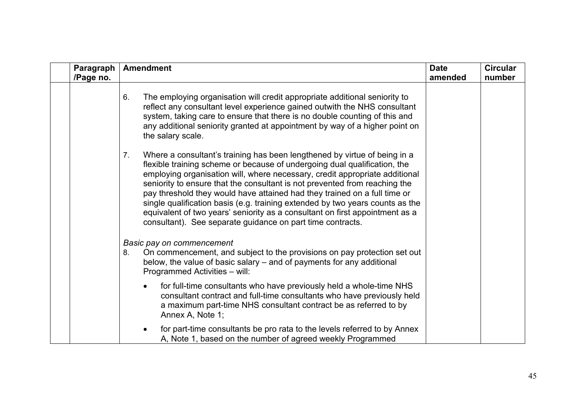| Paragraph<br>/Page no. | <b>Amendment</b>                                                                                                                                                                                                                                                                                                                                                                                                                                                                                                                                                                                                                      | <b>Date</b><br>amended | <b>Circular</b><br>number |
|------------------------|---------------------------------------------------------------------------------------------------------------------------------------------------------------------------------------------------------------------------------------------------------------------------------------------------------------------------------------------------------------------------------------------------------------------------------------------------------------------------------------------------------------------------------------------------------------------------------------------------------------------------------------|------------------------|---------------------------|
|                        | The employing organisation will credit appropriate additional seniority to<br>6.<br>reflect any consultant level experience gained outwith the NHS consultant<br>system, taking care to ensure that there is no double counting of this and<br>any additional seniority granted at appointment by way of a higher point on<br>the salary scale.                                                                                                                                                                                                                                                                                       |                        |                           |
|                        | Where a consultant's training has been lengthened by virtue of being in a<br>7.<br>flexible training scheme or because of undergoing dual qualification, the<br>employing organisation will, where necessary, credit appropriate additional<br>seniority to ensure that the consultant is not prevented from reaching the<br>pay threshold they would have attained had they trained on a full time or<br>single qualification basis (e.g. training extended by two years counts as the<br>equivalent of two years' seniority as a consultant on first appointment as a<br>consultant). See separate guidance on part time contracts. |                        |                           |
|                        | Basic pay on commencement<br>On commencement, and subject to the provisions on pay protection set out<br>8.<br>below, the value of basic salary – and of payments for any additional<br>Programmed Activities - will:                                                                                                                                                                                                                                                                                                                                                                                                                 |                        |                           |
|                        | for full-time consultants who have previously held a whole-time NHS<br>consultant contract and full-time consultants who have previously held<br>a maximum part-time NHS consultant contract be as referred to by<br>Annex A, Note 1;                                                                                                                                                                                                                                                                                                                                                                                                 |                        |                           |
|                        | for part-time consultants be pro rata to the levels referred to by Annex<br>A, Note 1, based on the number of agreed weekly Programmed                                                                                                                                                                                                                                                                                                                                                                                                                                                                                                |                        |                           |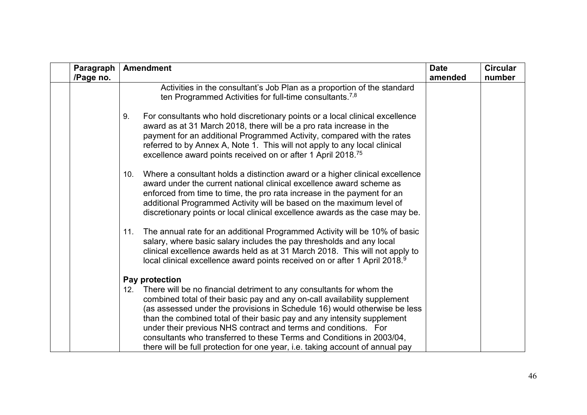| Paragraph<br>/Page no. | <b>Amendment</b>                                                                                                                                                                                                                                                                                                                                                                                                                                                                                                                              | <b>Date</b><br>amended | <b>Circular</b><br>number |
|------------------------|-----------------------------------------------------------------------------------------------------------------------------------------------------------------------------------------------------------------------------------------------------------------------------------------------------------------------------------------------------------------------------------------------------------------------------------------------------------------------------------------------------------------------------------------------|------------------------|---------------------------|
|                        | Activities in the consultant's Job Plan as a proportion of the standard<br>ten Programmed Activities for full-time consultants. <sup>7,8</sup>                                                                                                                                                                                                                                                                                                                                                                                                |                        |                           |
|                        | For consultants who hold discretionary points or a local clinical excellence<br>9.<br>award as at 31 March 2018, there will be a pro rata increase in the<br>payment for an additional Programmed Activity, compared with the rates<br>referred to by Annex A, Note 1. This will not apply to any local clinical<br>excellence award points received on or after 1 April 2018. <sup>75</sup>                                                                                                                                                  |                        |                           |
|                        | Where a consultant holds a distinction award or a higher clinical excellence<br>10.<br>award under the current national clinical excellence award scheme as<br>enforced from time to time, the pro rata increase in the payment for an<br>additional Programmed Activity will be based on the maximum level of<br>discretionary points or local clinical excellence awards as the case may be.                                                                                                                                                |                        |                           |
|                        | The annual rate for an additional Programmed Activity will be 10% of basic<br>11.<br>salary, where basic salary includes the pay thresholds and any local<br>clinical excellence awards held as at 31 March 2018. This will not apply to<br>local clinical excellence award points received on or after 1 April 2018.9                                                                                                                                                                                                                        |                        |                           |
|                        | Pay protection                                                                                                                                                                                                                                                                                                                                                                                                                                                                                                                                |                        |                           |
|                        | There will be no financial detriment to any consultants for whom the<br>12.<br>combined total of their basic pay and any on-call availability supplement<br>(as assessed under the provisions in Schedule 16) would otherwise be less<br>than the combined total of their basic pay and any intensity supplement<br>under their previous NHS contract and terms and conditions. For<br>consultants who transferred to these Terms and Conditions in 2003/04,<br>there will be full protection for one year, i.e. taking account of annual pay |                        |                           |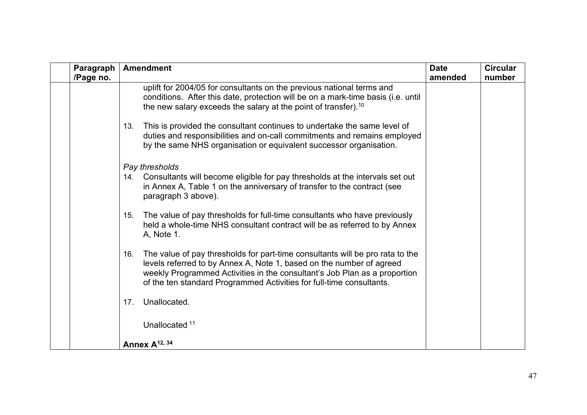| Paragraph<br>/Page no. | <b>Amendment</b>                                                                                                                                                                                                                                                                                                  | <b>Date</b><br>amended | <b>Circular</b><br>number |
|------------------------|-------------------------------------------------------------------------------------------------------------------------------------------------------------------------------------------------------------------------------------------------------------------------------------------------------------------|------------------------|---------------------------|
|                        | uplift for 2004/05 for consultants on the previous national terms and<br>conditions. After this date, protection will be on a mark-time basis (i.e. until<br>the new salary exceeds the salary at the point of transfer). <sup>10</sup>                                                                           |                        |                           |
|                        | This is provided the consultant continues to undertake the same level of<br>13.<br>duties and responsibilities and on-call commitments and remains employed<br>by the same NHS organisation or equivalent successor organisation.                                                                                 |                        |                           |
|                        | Pay thresholds                                                                                                                                                                                                                                                                                                    |                        |                           |
|                        | Consultants will become eligible for pay thresholds at the intervals set out<br>14.<br>in Annex A, Table 1 on the anniversary of transfer to the contract (see<br>paragraph 3 above).                                                                                                                             |                        |                           |
|                        | The value of pay thresholds for full-time consultants who have previously<br>15.<br>held a whole-time NHS consultant contract will be as referred to by Annex<br>A, Note 1.                                                                                                                                       |                        |                           |
|                        | The value of pay thresholds for part-time consultants will be pro rata to the<br>16.<br>levels referred to by Annex A, Note 1, based on the number of agreed<br>weekly Programmed Activities in the consultant's Job Plan as a proportion<br>of the ten standard Programmed Activities for full-time consultants. |                        |                           |
|                        | Unallocated.<br>17.                                                                                                                                                                                                                                                                                               |                        |                           |
|                        | Unallocated 11                                                                                                                                                                                                                                                                                                    |                        |                           |
|                        | Annex A <sup>12, 34</sup>                                                                                                                                                                                                                                                                                         |                        |                           |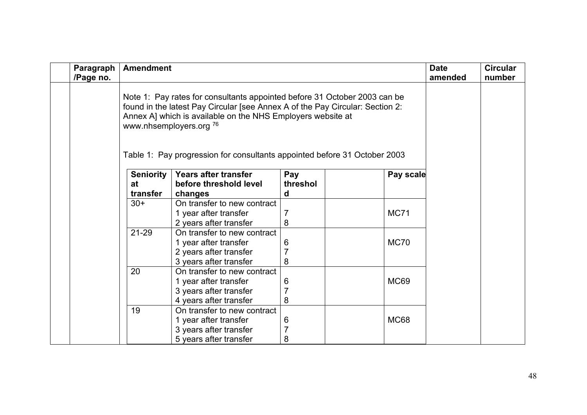| Paragraph<br>/Page no. | <b>Amendment</b> |                                                                                                                                                                                                                                                                 |                |             | <b>Date</b><br>amended | <b>Circular</b><br>number |
|------------------------|------------------|-----------------------------------------------------------------------------------------------------------------------------------------------------------------------------------------------------------------------------------------------------------------|----------------|-------------|------------------------|---------------------------|
|                        |                  | Note 1: Pay rates for consultants appointed before 31 October 2003 can be<br>found in the latest Pay Circular [see Annex A of the Pay Circular: Section 2:<br>Annex A] which is available on the NHS Employers website at<br>www.nhsemployers.org <sup>76</sup> |                |             |                        |                           |
|                        |                  | Table 1: Pay progression for consultants appointed before 31 October 2003                                                                                                                                                                                       |                |             |                        |                           |
|                        | <b>Seniority</b> | Years after transfer                                                                                                                                                                                                                                            | Pay            | Pay scale   |                        |                           |
|                        | at               | before threshold level                                                                                                                                                                                                                                          | threshol       |             |                        |                           |
|                        | transfer         | changes                                                                                                                                                                                                                                                         | d              |             |                        |                           |
|                        | $30+$            | On transfer to new contract                                                                                                                                                                                                                                     |                |             |                        |                           |
|                        |                  | 1 year after transfer                                                                                                                                                                                                                                           |                | <b>MC71</b> |                        |                           |
|                        |                  | 2 years after transfer                                                                                                                                                                                                                                          | 8              |             |                        |                           |
|                        | 21-29            | On transfer to new contract                                                                                                                                                                                                                                     |                |             |                        |                           |
|                        |                  | 1 year after transfer                                                                                                                                                                                                                                           | 6              | <b>MC70</b> |                        |                           |
|                        |                  | 2 years after transfer                                                                                                                                                                                                                                          | $\overline{7}$ |             |                        |                           |
|                        |                  | 3 years after transfer                                                                                                                                                                                                                                          | 8              |             |                        |                           |
|                        | 20               | On transfer to new contract                                                                                                                                                                                                                                     |                |             |                        |                           |
|                        |                  | 1 year after transfer                                                                                                                                                                                                                                           | 6              | <b>MC69</b> |                        |                           |
|                        |                  | 3 years after transfer                                                                                                                                                                                                                                          | $\overline{7}$ |             |                        |                           |
|                        |                  | 4 years after transfer                                                                                                                                                                                                                                          | 8              |             |                        |                           |
|                        | 19               | On transfer to new contract                                                                                                                                                                                                                                     |                |             |                        |                           |
|                        |                  | 1 year after transfer                                                                                                                                                                                                                                           | 6              | <b>MC68</b> |                        |                           |
|                        |                  | 3 years after transfer                                                                                                                                                                                                                                          | $\overline{7}$ |             |                        |                           |
|                        |                  | 5 years after transfer                                                                                                                                                                                                                                          | 8              |             |                        |                           |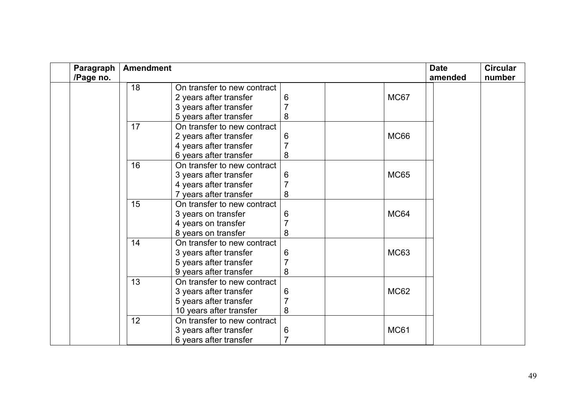| Paragraph | <b>Amendment</b> |                             |   |             | <b>Date</b><br>amended | <b>Circular</b><br>number |
|-----------|------------------|-----------------------------|---|-------------|------------------------|---------------------------|
| /Page no. |                  | On transfer to new contract |   |             |                        |                           |
|           | 18               |                             |   |             |                        |                           |
|           |                  | 2 years after transfer      | 6 | MC67        |                        |                           |
|           |                  | 3 years after transfer      |   |             |                        |                           |
|           |                  | 5 years after transfer      | 8 |             |                        |                           |
|           | 17               | On transfer to new contract |   |             |                        |                           |
|           |                  | 2 years after transfer      | 6 | <b>MC66</b> |                        |                           |
|           |                  | 4 years after transfer      |   |             |                        |                           |
|           |                  | 6 years after transfer      | 8 |             |                        |                           |
|           | 16               | On transfer to new contract |   |             |                        |                           |
|           |                  | 3 years after transfer      | 6 | <b>MC65</b> |                        |                           |
|           |                  | 4 years after transfer      | 7 |             |                        |                           |
|           |                  | 7 years after transfer      | 8 |             |                        |                           |
|           | 15               | On transfer to new contract |   |             |                        |                           |
|           |                  | 3 years on transfer         | 6 | MC64        |                        |                           |
|           |                  | 4 years on transfer         |   |             |                        |                           |
|           |                  | 8 years on transfer         | 8 |             |                        |                           |
|           | 14               | On transfer to new contract |   |             |                        |                           |
|           |                  | 3 years after transfer      | 6 | <b>MC63</b> |                        |                           |
|           |                  | 5 years after transfer      |   |             |                        |                           |
|           |                  | 9 years after transfer      | 8 |             |                        |                           |
|           | 13               | On transfer to new contract |   |             |                        |                           |
|           |                  | 3 years after transfer      | 6 | <b>MC62</b> |                        |                           |
|           |                  | 5 years after transfer      | 7 |             |                        |                           |
|           |                  | 10 years after transfer     | 8 |             |                        |                           |
|           | 12               | On transfer to new contract |   |             |                        |                           |
|           |                  | 3 years after transfer      | 6 | <b>MC61</b> |                        |                           |
|           |                  | 6 years after transfer      |   |             |                        |                           |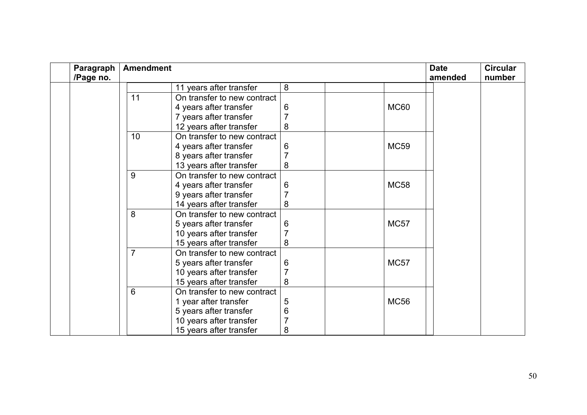| Paragraph |                 | <b>Amendment</b>            |                |             |         | <b>Circular</b> |
|-----------|-----------------|-----------------------------|----------------|-------------|---------|-----------------|
| /Page no. |                 |                             |                |             | amended | number          |
|           |                 | 11 years after transfer     | 8              |             |         |                 |
|           | 11              | On transfer to new contract |                |             |         |                 |
|           |                 | 4 years after transfer      | 6              | <b>MC60</b> |         |                 |
|           |                 | 7 years after transfer      |                |             |         |                 |
|           |                 | 12 years after transfer     | 8              |             |         |                 |
|           | 10              | On transfer to new contract |                |             |         |                 |
|           |                 | 4 years after transfer      | 6              | <b>MC59</b> |         |                 |
|           |                 | 8 years after transfer      |                |             |         |                 |
|           |                 | 13 years after transfer     | 8              |             |         |                 |
|           | 9               | On transfer to new contract |                |             |         |                 |
|           |                 | 4 years after transfer      | 6              | <b>MC58</b> |         |                 |
|           |                 | 9 years after transfer      | $\overline{7}$ |             |         |                 |
|           |                 | 14 years after transfer     | 8              |             |         |                 |
|           | 8               | On transfer to new contract |                |             |         |                 |
|           |                 | 5 years after transfer      | 6              | <b>MC57</b> |         |                 |
|           |                 | 10 years after transfer     |                |             |         |                 |
|           |                 | 15 years after transfer     | 8              |             |         |                 |
|           | $\overline{7}$  | On transfer to new contract |                |             |         |                 |
|           |                 | 5 years after transfer      | 6              | MC57        |         |                 |
|           |                 | 10 years after transfer     | $\overline{7}$ |             |         |                 |
|           |                 | 15 years after transfer     | 8              |             |         |                 |
|           | $6\phantom{1}6$ | On transfer to new contract |                |             |         |                 |
|           |                 | 1 year after transfer       | 5              | <b>MC56</b> |         |                 |
|           |                 | 5 years after transfer      | 6              |             |         |                 |
|           |                 | 10 years after transfer     |                |             |         |                 |
|           |                 | 15 years after transfer     | 8              |             |         |                 |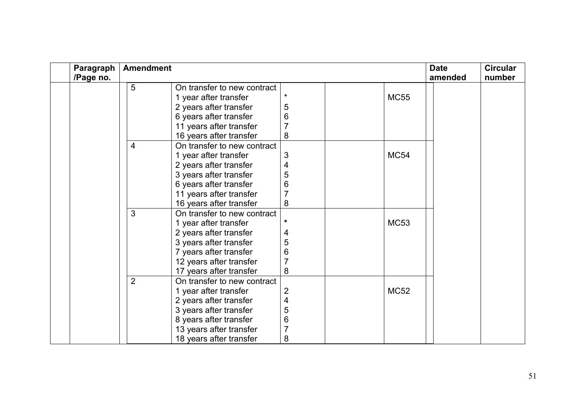| Paragraph | <b>Amendment</b> |                             |                         |  |             | <b>Date</b> | <b>Circular</b> |
|-----------|------------------|-----------------------------|-------------------------|--|-------------|-------------|-----------------|
| /Page no. |                  |                             |                         |  |             | amended     | number          |
|           | 5                | On transfer to new contract |                         |  |             |             |                 |
|           |                  | 1 year after transfer       |                         |  | <b>MC55</b> |             |                 |
|           |                  | 2 years after transfer      | 5                       |  |             |             |                 |
|           |                  | 6 years after transfer      | 6                       |  |             |             |                 |
|           |                  | 11 years after transfer     | 7                       |  |             |             |                 |
|           |                  | 16 years after transfer     | 8                       |  |             |             |                 |
|           | $\overline{4}$   | On transfer to new contract |                         |  |             |             |                 |
|           |                  | 1 year after transfer       | 3                       |  | <b>MC54</b> |             |                 |
|           |                  | 2 years after transfer      | 4                       |  |             |             |                 |
|           |                  | 3 years after transfer      | 5                       |  |             |             |                 |
|           |                  | 6 years after transfer      | 6                       |  |             |             |                 |
|           |                  | 11 years after transfer     | 7                       |  |             |             |                 |
|           |                  | 16 years after transfer     | 8                       |  |             |             |                 |
|           | 3                | On transfer to new contract |                         |  |             |             |                 |
|           |                  | 1 year after transfer       | $\star$                 |  | <b>MC53</b> |             |                 |
|           |                  | 2 years after transfer      | 4                       |  |             |             |                 |
|           |                  | 3 years after transfer      | 5                       |  |             |             |                 |
|           |                  | 7 years after transfer      | 6                       |  |             |             |                 |
|           |                  | 12 years after transfer     | $\overline{7}$          |  |             |             |                 |
|           |                  | 17 years after transfer     | 8                       |  |             |             |                 |
|           | $\overline{2}$   | On transfer to new contract |                         |  |             |             |                 |
|           |                  | 1 year after transfer       | 2                       |  | <b>MC52</b> |             |                 |
|           |                  | 2 years after transfer      | $\overline{\mathbf{4}}$ |  |             |             |                 |
|           |                  | 3 years after transfer      | 5                       |  |             |             |                 |
|           |                  | 8 years after transfer      | 6                       |  |             |             |                 |
|           |                  | 13 years after transfer     | $\overline{7}$          |  |             |             |                 |
|           |                  | 18 years after transfer     | 8                       |  |             |             |                 |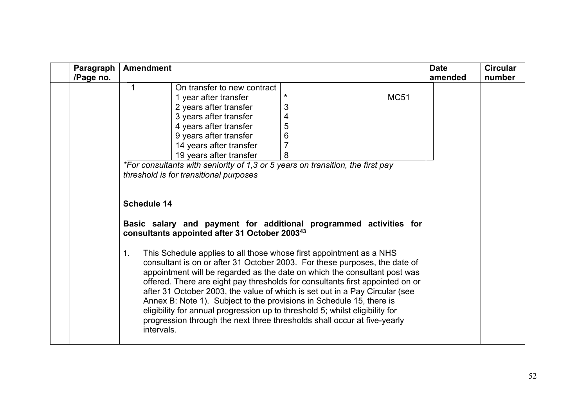| Paragraph | <b>Amendment</b>                                                                                                                                                                                                                                                                                                                                                                                                                                                                                                                                                                                                                                       |                         |             |         | <b>Circular</b> |
|-----------|--------------------------------------------------------------------------------------------------------------------------------------------------------------------------------------------------------------------------------------------------------------------------------------------------------------------------------------------------------------------------------------------------------------------------------------------------------------------------------------------------------------------------------------------------------------------------------------------------------------------------------------------------------|-------------------------|-------------|---------|-----------------|
| /Page no. |                                                                                                                                                                                                                                                                                                                                                                                                                                                                                                                                                                                                                                                        |                         |             | amended | number          |
|           | On transfer to new contract                                                                                                                                                                                                                                                                                                                                                                                                                                                                                                                                                                                                                            |                         |             |         |                 |
|           | 1 year after transfer                                                                                                                                                                                                                                                                                                                                                                                                                                                                                                                                                                                                                                  | $\star$                 | <b>MC51</b> |         |                 |
|           | 2 years after transfer                                                                                                                                                                                                                                                                                                                                                                                                                                                                                                                                                                                                                                 | 3                       |             |         |                 |
|           | 3 years after transfer                                                                                                                                                                                                                                                                                                                                                                                                                                                                                                                                                                                                                                 | $\overline{\mathbf{4}}$ |             |         |                 |
|           | 4 years after transfer                                                                                                                                                                                                                                                                                                                                                                                                                                                                                                                                                                                                                                 | 5                       |             |         |                 |
|           | 9 years after transfer                                                                                                                                                                                                                                                                                                                                                                                                                                                                                                                                                                                                                                 | 6                       |             |         |                 |
|           | 14 years after transfer                                                                                                                                                                                                                                                                                                                                                                                                                                                                                                                                                                                                                                | $\overline{7}$          |             |         |                 |
|           | 19 years after transfer                                                                                                                                                                                                                                                                                                                                                                                                                                                                                                                                                                                                                                | 8                       |             |         |                 |
|           | *For consultants with seniority of 1,3 or 5 years on transition, the first pay                                                                                                                                                                                                                                                                                                                                                                                                                                                                                                                                                                         |                         |             |         |                 |
|           | threshold is for transitional purposes                                                                                                                                                                                                                                                                                                                                                                                                                                                                                                                                                                                                                 |                         |             |         |                 |
|           |                                                                                                                                                                                                                                                                                                                                                                                                                                                                                                                                                                                                                                                        |                         |             |         |                 |
|           |                                                                                                                                                                                                                                                                                                                                                                                                                                                                                                                                                                                                                                                        |                         |             |         |                 |
|           | <b>Schedule 14</b>                                                                                                                                                                                                                                                                                                                                                                                                                                                                                                                                                                                                                                     |                         |             |         |                 |
|           | Basic salary and payment for additional programmed activities for<br>consultants appointed after 31 October 2003 <sup>43</sup>                                                                                                                                                                                                                                                                                                                                                                                                                                                                                                                         |                         |             |         |                 |
|           | This Schedule applies to all those whose first appointment as a NHS<br>1.<br>consultant is on or after 31 October 2003. For these purposes, the date of<br>appointment will be regarded as the date on which the consultant post was<br>offered. There are eight pay thresholds for consultants first appointed on or<br>after 31 October 2003, the value of which is set out in a Pay Circular (see<br>Annex B: Note 1). Subject to the provisions in Schedule 15, there is<br>eligibility for annual progression up to threshold 5; whilst eligibility for<br>progression through the next three thresholds shall occur at five-yearly<br>intervals. |                         |             |         |                 |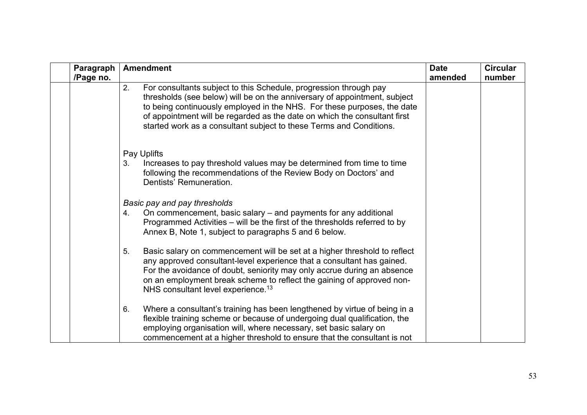<span id="page-52-2"></span><span id="page-52-1"></span><span id="page-52-0"></span>

| Paragraph<br>/Page no. | <b>Amendment</b>                                                                                                                                                                                                                                                                                                                                                                    | <b>Date</b><br>amended | <b>Circular</b><br>number |
|------------------------|-------------------------------------------------------------------------------------------------------------------------------------------------------------------------------------------------------------------------------------------------------------------------------------------------------------------------------------------------------------------------------------|------------------------|---------------------------|
|                        | For consultants subject to this Schedule, progression through pay<br>2.<br>thresholds (see below) will be on the anniversary of appointment, subject<br>to being continuously employed in the NHS. For these purposes, the date<br>of appointment will be regarded as the date on which the consultant first<br>started work as a consultant subject to these Terms and Conditions. |                        |                           |
|                        | Pay Uplifts                                                                                                                                                                                                                                                                                                                                                                         |                        |                           |
|                        | Increases to pay threshold values may be determined from time to time<br>3.<br>following the recommendations of the Review Body on Doctors' and<br>Dentists' Remuneration.                                                                                                                                                                                                          |                        |                           |
|                        | Basic pay and pay thresholds                                                                                                                                                                                                                                                                                                                                                        |                        |                           |
|                        | On commencement, basic salary – and payments for any additional<br>4.<br>Programmed Activities – will be the first of the thresholds referred to by<br>Annex B, Note 1, subject to paragraphs 5 and 6 below.                                                                                                                                                                        |                        |                           |
|                        | Basic salary on commencement will be set at a higher threshold to reflect<br>5.<br>any approved consultant-level experience that a consultant has gained.<br>For the avoidance of doubt, seniority may only accrue during an absence<br>on an employment break scheme to reflect the gaining of approved non-<br>NHS consultant level experience. <sup>13</sup>                     |                        |                           |
|                        | Where a consultant's training has been lengthened by virtue of being in a<br>6.<br>flexible training scheme or because of undergoing dual qualification, the<br>employing organisation will, where necessary, set basic salary on<br>commencement at a higher threshold to ensure that the consultant is not                                                                        |                        |                           |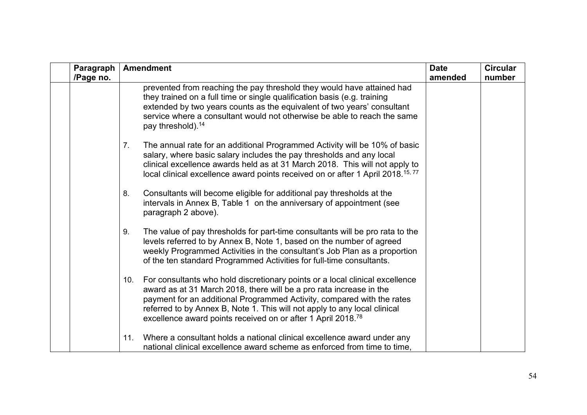| Paragraph<br>/Page no. | <b>Amendment</b>                                                                                                                                                                                                                                                                                                                                                                              | <b>Date</b><br>amended | <b>Circular</b><br>number |
|------------------------|-----------------------------------------------------------------------------------------------------------------------------------------------------------------------------------------------------------------------------------------------------------------------------------------------------------------------------------------------------------------------------------------------|------------------------|---------------------------|
|                        | prevented from reaching the pay threshold they would have attained had<br>they trained on a full time or single qualification basis (e.g. training<br>extended by two years counts as the equivalent of two years' consultant<br>service where a consultant would not otherwise be able to reach the same<br>pay threshold). <sup>14</sup>                                                    |                        |                           |
|                        | The annual rate for an additional Programmed Activity will be 10% of basic<br>$7_{\cdot}$<br>salary, where basic salary includes the pay thresholds and any local<br>clinical excellence awards held as at 31 March 2018. This will not apply to<br>local clinical excellence award points received on or after 1 April 2018. <sup>15,77</sup>                                                |                        |                           |
|                        | Consultants will become eligible for additional pay thresholds at the<br>8.<br>intervals in Annex B, Table 1 on the anniversary of appointment (see<br>paragraph 2 above).                                                                                                                                                                                                                    |                        |                           |
|                        | The value of pay thresholds for part-time consultants will be pro rata to the<br>9.<br>levels referred to by Annex B, Note 1, based on the number of agreed<br>weekly Programmed Activities in the consultant's Job Plan as a proportion<br>of the ten standard Programmed Activities for full-time consultants.                                                                              |                        |                           |
|                        | For consultants who hold discretionary points or a local clinical excellence<br>10.<br>award as at 31 March 2018, there will be a pro rata increase in the<br>payment for an additional Programmed Activity, compared with the rates<br>referred to by Annex B, Note 1. This will not apply to any local clinical<br>excellence award points received on or after 1 April 2018. <sup>78</sup> |                        |                           |
|                        | Where a consultant holds a national clinical excellence award under any<br>11.<br>national clinical excellence award scheme as enforced from time to time,                                                                                                                                                                                                                                    |                        |                           |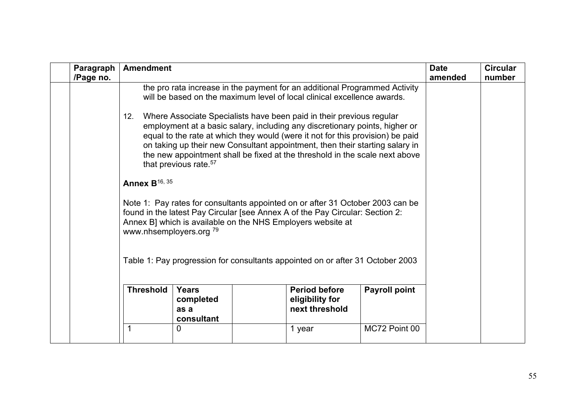| Paragraph<br>/Page no. | <b>Amendment</b>                                                              |                                                 |                                                                                                                                                                                                                                                                                                                                                                                                                                                                                                                                                                                                                                                                                                                                                                                                                                                                                   |                      | <b>Date</b><br>amended | <b>Circular</b><br>number |
|------------------------|-------------------------------------------------------------------------------|-------------------------------------------------|-----------------------------------------------------------------------------------------------------------------------------------------------------------------------------------------------------------------------------------------------------------------------------------------------------------------------------------------------------------------------------------------------------------------------------------------------------------------------------------------------------------------------------------------------------------------------------------------------------------------------------------------------------------------------------------------------------------------------------------------------------------------------------------------------------------------------------------------------------------------------------------|----------------------|------------------------|---------------------------|
|                        | 12.<br><b>Annex B</b> <sup>16, 35</sup><br>www.nhsemployers.org <sup>79</sup> | that previous rate. <sup>57</sup>               | the pro rata increase in the payment for an additional Programmed Activity<br>will be based on the maximum level of local clinical excellence awards.<br>Where Associate Specialists have been paid in their previous regular<br>employment at a basic salary, including any discretionary points, higher or<br>equal to the rate at which they would (were it not for this provision) be paid<br>on taking up their new Consultant appointment, then their starting salary in<br>the new appointment shall be fixed at the threshold in the scale next above<br>Note 1: Pay rates for consultants appointed on or after 31 October 2003 can be<br>found in the latest Pay Circular [see Annex A of the Pay Circular: Section 2:<br>Annex B] which is available on the NHS Employers website at<br>Table 1: Pay progression for consultants appointed on or after 31 October 2003 |                      |                        |                           |
|                        | <b>Threshold</b>                                                              | <b>Years</b><br>completed<br>as a<br>consultant | <b>Period before</b><br>eligibility for<br>next threshold                                                                                                                                                                                                                                                                                                                                                                                                                                                                                                                                                                                                                                                                                                                                                                                                                         | <b>Payroll point</b> |                        |                           |
|                        | 1                                                                             | 0                                               | 1 year                                                                                                                                                                                                                                                                                                                                                                                                                                                                                                                                                                                                                                                                                                                                                                                                                                                                            | MC72 Point 00        |                        |                           |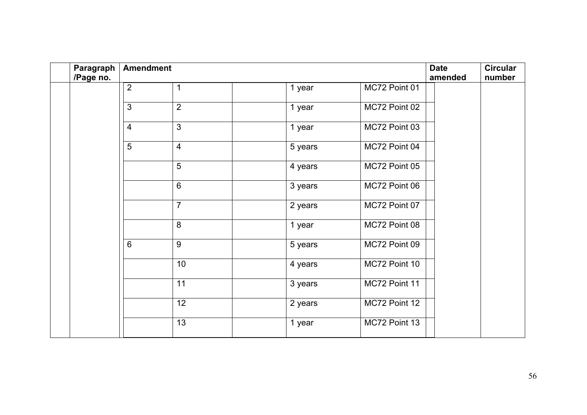| Paragraph | <b>Amendment</b> |                 |         |               |         | <b>Circular</b> |
|-----------|------------------|-----------------|---------|---------------|---------|-----------------|
| /Page no. |                  |                 |         |               | amended | number          |
|           | $\overline{2}$   | 1               | 1 year  | MC72 Point 01 |         |                 |
|           | $\mathbf{3}$     | $\overline{2}$  | 1 year  | MC72 Point 02 |         |                 |
|           | $\overline{4}$   | $\mathfrak{Z}$  | 1 year  | MC72 Point 03 |         |                 |
|           | $\overline{5}$   | $\overline{4}$  | 5 years | MC72 Point 04 |         |                 |
|           |                  | $\overline{5}$  | 4 years | MC72 Point 05 |         |                 |
|           |                  | $6\,$           | 3 years | MC72 Point 06 |         |                 |
|           |                  | $\overline{7}$  | 2 years | MC72 Point 07 |         |                 |
|           |                  | $\bf 8$         | 1 year  | MC72 Point 08 |         |                 |
|           | $6\phantom{1}$   | 9               | 5 years | MC72 Point 09 |         |                 |
|           |                  | 10              | 4 years | MC72 Point 10 |         |                 |
|           |                  | 11              | 3 years | MC72 Point 11 |         |                 |
|           |                  | $\overline{12}$ | 2 years | MC72 Point 12 |         |                 |
|           |                  | 13              | 1 year  | MC72 Point 13 |         |                 |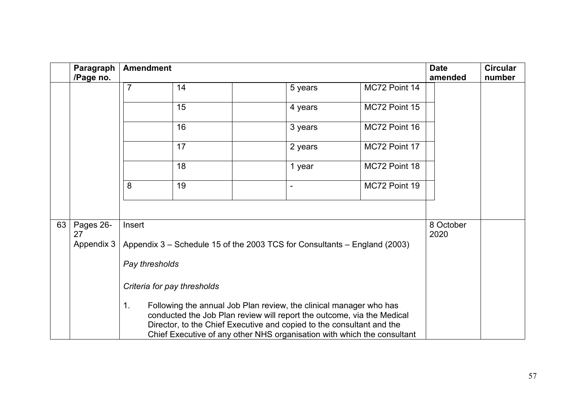<span id="page-56-0"></span>

|    | Paragraph       |                             | <b>Amendment</b> |                                                                                                                                                                                                                                                                                                  |         |                                                                           | <b>Date</b>       | <b>Circular</b> |
|----|-----------------|-----------------------------|------------------|--------------------------------------------------------------------------------------------------------------------------------------------------------------------------------------------------------------------------------------------------------------------------------------------------|---------|---------------------------------------------------------------------------|-------------------|-----------------|
|    | /Page no.       |                             |                  |                                                                                                                                                                                                                                                                                                  |         |                                                                           | amended           | number          |
|    |                 | $\overline{7}$              | 14               |                                                                                                                                                                                                                                                                                                  | 5 years | MC72 Point 14                                                             |                   |                 |
|    |                 |                             | 15               |                                                                                                                                                                                                                                                                                                  | 4 years | MC72 Point 15                                                             |                   |                 |
|    |                 |                             | 16               |                                                                                                                                                                                                                                                                                                  | 3 years | MC72 Point 16                                                             |                   |                 |
|    |                 |                             | 17               |                                                                                                                                                                                                                                                                                                  | 2 years | MC72 Point 17                                                             |                   |                 |
|    |                 |                             | 18               |                                                                                                                                                                                                                                                                                                  | 1 year  | MC72 Point 18                                                             |                   |                 |
|    |                 | 8                           | 19               |                                                                                                                                                                                                                                                                                                  |         | MC72 Point 19                                                             |                   |                 |
|    |                 |                             |                  |                                                                                                                                                                                                                                                                                                  |         |                                                                           |                   |                 |
| 63 | Pages 26-<br>27 | Insert                      |                  |                                                                                                                                                                                                                                                                                                  |         |                                                                           | 8 October<br>2020 |                 |
|    | Appendix 3      |                             |                  |                                                                                                                                                                                                                                                                                                  |         | Appendix 3 – Schedule 15 of the 2003 TCS for Consultants – England (2003) |                   |                 |
|    |                 | Pay thresholds              |                  |                                                                                                                                                                                                                                                                                                  |         |                                                                           |                   |                 |
|    |                 | Criteria for pay thresholds |                  |                                                                                                                                                                                                                                                                                                  |         |                                                                           |                   |                 |
|    |                 | 1 <sub>1</sub>              |                  | Following the annual Job Plan review, the clinical manager who has<br>conducted the Job Plan review will report the outcome, via the Medical<br>Director, to the Chief Executive and copied to the consultant and the<br>Chief Executive of any other NHS organisation with which the consultant |         |                                                                           |                   |                 |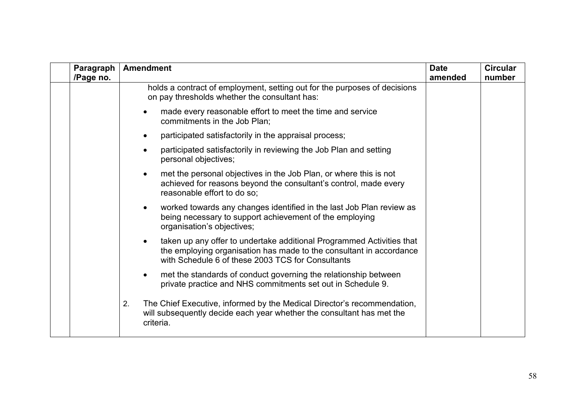| Paragraph<br>/Page no. | <b>Amendment</b>                                                                                                                                                                                  | <b>Date</b><br>amended | <b>Circular</b><br>number |
|------------------------|---------------------------------------------------------------------------------------------------------------------------------------------------------------------------------------------------|------------------------|---------------------------|
|                        | holds a contract of employment, setting out for the purposes of decisions<br>on pay thresholds whether the consultant has:                                                                        |                        |                           |
|                        | made every reasonable effort to meet the time and service<br>commitments in the Job Plan;                                                                                                         |                        |                           |
|                        | participated satisfactorily in the appraisal process;<br>$\bullet$                                                                                                                                |                        |                           |
|                        | participated satisfactorily in reviewing the Job Plan and setting<br>$\bullet$<br>personal objectives;                                                                                            |                        |                           |
|                        | met the personal objectives in the Job Plan, or where this is not<br>$\bullet$<br>achieved for reasons beyond the consultant's control, made every<br>reasonable effort to do so;                 |                        |                           |
|                        | worked towards any changes identified in the last Job Plan review as<br>$\bullet$<br>being necessary to support achievement of the employing<br>organisation's objectives;                        |                        |                           |
|                        | taken up any offer to undertake additional Programmed Activities that<br>the employing organisation has made to the consultant in accordance<br>with Schedule 6 of these 2003 TCS for Consultants |                        |                           |
|                        | met the standards of conduct governing the relationship between<br>private practice and NHS commitments set out in Schedule 9.                                                                    |                        |                           |
|                        | The Chief Executive, informed by the Medical Director's recommendation,<br>2.<br>will subsequently decide each year whether the consultant has met the<br>criteria.                               |                        |                           |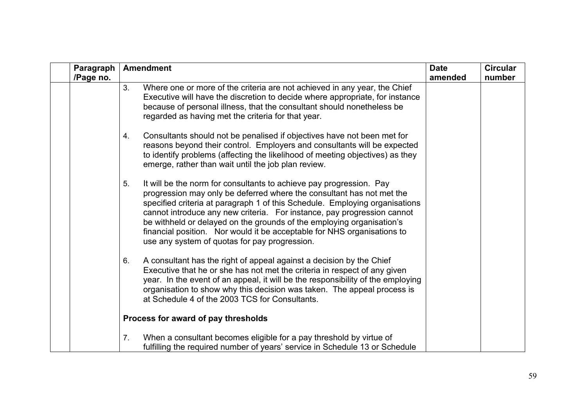| Paragraph<br>/Page no. | <b>Amendment</b>                                                                                                                                                                                                                                                                                                                                                                                                                                                                                                  | <b>Date</b><br>amended | <b>Circular</b><br>number |
|------------------------|-------------------------------------------------------------------------------------------------------------------------------------------------------------------------------------------------------------------------------------------------------------------------------------------------------------------------------------------------------------------------------------------------------------------------------------------------------------------------------------------------------------------|------------------------|---------------------------|
|                        | Where one or more of the criteria are not achieved in any year, the Chief<br>3.<br>Executive will have the discretion to decide where appropriate, for instance<br>because of personal illness, that the consultant should nonetheless be<br>regarded as having met the criteria for that year.                                                                                                                                                                                                                   |                        |                           |
|                        | Consultants should not be penalised if objectives have not been met for<br>4.<br>reasons beyond their control. Employers and consultants will be expected<br>to identify problems (affecting the likelihood of meeting objectives) as they<br>emerge, rather than wait until the job plan review.                                                                                                                                                                                                                 |                        |                           |
|                        | It will be the norm for consultants to achieve pay progression. Pay<br>5.<br>progression may only be deferred where the consultant has not met the<br>specified criteria at paragraph 1 of this Schedule. Employing organisations<br>cannot introduce any new criteria. For instance, pay progression cannot<br>be withheld or delayed on the grounds of the employing organisation's<br>financial position. Nor would it be acceptable for NHS organisations to<br>use any system of quotas for pay progression. |                        |                           |
|                        | A consultant has the right of appeal against a decision by the Chief<br>6.<br>Executive that he or she has not met the criteria in respect of any given<br>year. In the event of an appeal, it will be the responsibility of the employing<br>organisation to show why this decision was taken. The appeal process is<br>at Schedule 4 of the 2003 TCS for Consultants.                                                                                                                                           |                        |                           |
|                        | Process for award of pay thresholds                                                                                                                                                                                                                                                                                                                                                                                                                                                                               |                        |                           |
|                        | When a consultant becomes eligible for a pay threshold by virtue of<br>7 <sub>1</sub><br>fulfilling the required number of years' service in Schedule 13 or Schedule                                                                                                                                                                                                                                                                                                                                              |                        |                           |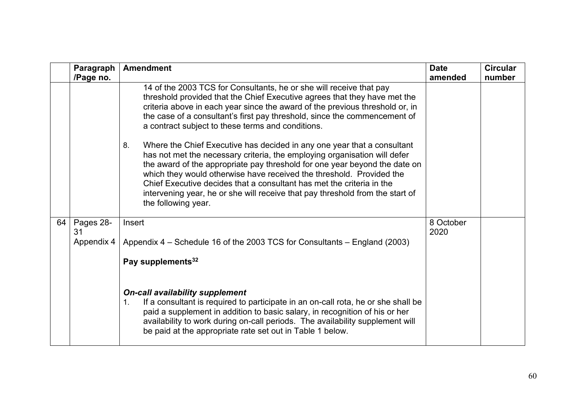|    | Paragraph<br>/Page no.        | <b>Amendment</b>                                                                                                                                                                                                                                                                                                                                                                                                                                                                                                                                                                                                                                                                                                                                                                                                                                                        | <b>Date</b><br>amended | <b>Circular</b><br>number |
|----|-------------------------------|-------------------------------------------------------------------------------------------------------------------------------------------------------------------------------------------------------------------------------------------------------------------------------------------------------------------------------------------------------------------------------------------------------------------------------------------------------------------------------------------------------------------------------------------------------------------------------------------------------------------------------------------------------------------------------------------------------------------------------------------------------------------------------------------------------------------------------------------------------------------------|------------------------|---------------------------|
|    |                               | 14 of the 2003 TCS for Consultants, he or she will receive that pay<br>threshold provided that the Chief Executive agrees that they have met the<br>criteria above in each year since the award of the previous threshold or, in<br>the case of a consultant's first pay threshold, since the commencement of<br>a contract subject to these terms and conditions.<br>Where the Chief Executive has decided in any one year that a consultant<br>8.<br>has not met the necessary criteria, the employing organisation will defer<br>the award of the appropriate pay threshold for one year beyond the date on<br>which they would otherwise have received the threshold. Provided the<br>Chief Executive decides that a consultant has met the criteria in the<br>intervening year, he or she will receive that pay threshold from the start of<br>the following year. |                        |                           |
| 64 | Pages 28-<br>31<br>Appendix 4 | Insert<br>Appendix 4 – Schedule 16 of the 2003 TCS for Consultants – England (2003)<br>Pay supplements <sup>32</sup><br><b>On-call availability supplement</b><br>If a consultant is required to participate in an on-call rota, he or she shall be<br>1 <sub>1</sub><br>paid a supplement in addition to basic salary, in recognition of his or her<br>availability to work during on-call periods. The availability supplement will<br>be paid at the appropriate rate set out in Table 1 below.                                                                                                                                                                                                                                                                                                                                                                      | 8 October<br>2020      |                           |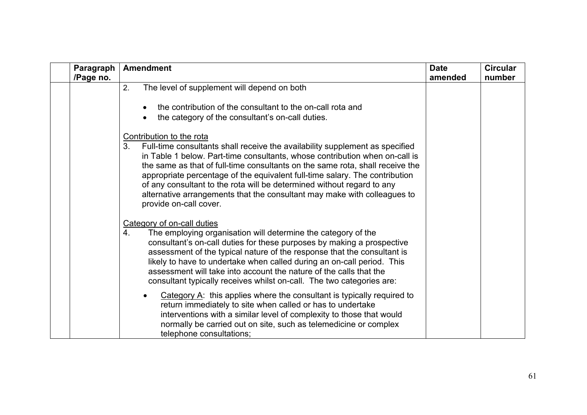| Paragraph<br>/Page no. | <b>Amendment</b>                                                                                                                                                                                                                                                                                                                                                                                                                                                                                                                              | <b>Date</b><br>amended | <b>Circular</b><br>number |
|------------------------|-----------------------------------------------------------------------------------------------------------------------------------------------------------------------------------------------------------------------------------------------------------------------------------------------------------------------------------------------------------------------------------------------------------------------------------------------------------------------------------------------------------------------------------------------|------------------------|---------------------------|
|                        | The level of supplement will depend on both<br>2.<br>the contribution of the consultant to the on-call rota and<br>the category of the consultant's on-call duties.                                                                                                                                                                                                                                                                                                                                                                           |                        |                           |
|                        | Contribution to the rota<br>3.<br>Full-time consultants shall receive the availability supplement as specified<br>in Table 1 below. Part-time consultants, whose contribution when on-call is<br>the same as that of full-time consultants on the same rota, shall receive the<br>appropriate percentage of the equivalent full-time salary. The contribution<br>of any consultant to the rota will be determined without regard to any<br>alternative arrangements that the consultant may make with colleagues to<br>provide on-call cover. |                        |                           |
|                        | Category of on-call duties<br>The employing organisation will determine the category of the<br>4.<br>consultant's on-call duties for these purposes by making a prospective<br>assessment of the typical nature of the response that the consultant is<br>likely to have to undertake when called during an on-call period. This<br>assessment will take into account the nature of the calls that the<br>consultant typically receives whilst on-call. The two categories are:                                                               |                        |                           |
|                        | Category A: this applies where the consultant is typically required to<br>return immediately to site when called or has to undertake<br>interventions with a similar level of complexity to those that would<br>normally be carried out on site, such as telemedicine or complex<br>telephone consultations:                                                                                                                                                                                                                                  |                        |                           |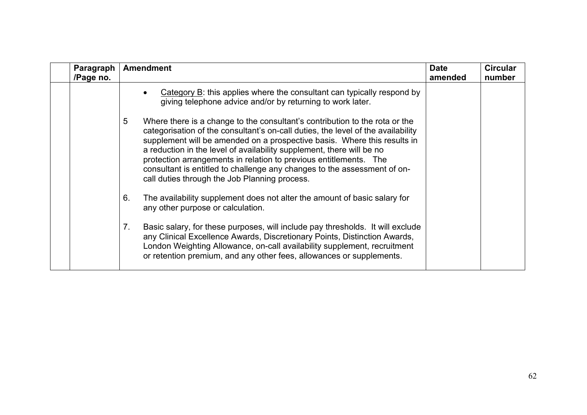| Paragraph<br>/Page no. | <b>Amendment</b>                                                                                                                                                                                                                                                                                                                                                                                                                                                                                                            | <b>Date</b><br>amended | <b>Circular</b><br>number |
|------------------------|-----------------------------------------------------------------------------------------------------------------------------------------------------------------------------------------------------------------------------------------------------------------------------------------------------------------------------------------------------------------------------------------------------------------------------------------------------------------------------------------------------------------------------|------------------------|---------------------------|
|                        | Category $B$ : this applies where the consultant can typically respond by<br>giving telephone advice and/or by returning to work later.                                                                                                                                                                                                                                                                                                                                                                                     |                        |                           |
|                        | 5<br>Where there is a change to the consultant's contribution to the rota or the<br>categorisation of the consultant's on-call duties, the level of the availability<br>supplement will be amended on a prospective basis. Where this results in<br>a reduction in the level of availability supplement, there will be no<br>protection arrangements in relation to previous entitlements. The<br>consultant is entitled to challenge any changes to the assessment of on-<br>call duties through the Job Planning process. |                        |                           |
|                        | The availability supplement does not alter the amount of basic salary for<br>6.<br>any other purpose or calculation.                                                                                                                                                                                                                                                                                                                                                                                                        |                        |                           |
|                        | Basic salary, for these purposes, will include pay thresholds. It will exclude<br>7.<br>any Clinical Excellence Awards, Discretionary Points, Distinction Awards,<br>London Weighting Allowance, on-call availability supplement, recruitment<br>or retention premium, and any other fees, allowances or supplements.                                                                                                                                                                                                       |                        |                           |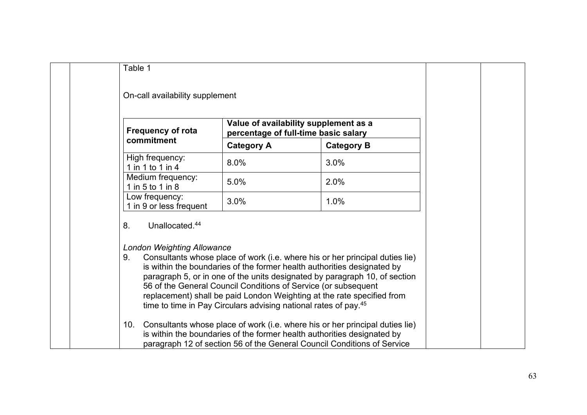| Table 1                                   |                                                                                                                                               |                                                                                                                                                                                                                                                                                                                 |  |
|-------------------------------------------|-----------------------------------------------------------------------------------------------------------------------------------------------|-----------------------------------------------------------------------------------------------------------------------------------------------------------------------------------------------------------------------------------------------------------------------------------------------------------------|--|
| On-call availability supplement           |                                                                                                                                               |                                                                                                                                                                                                                                                                                                                 |  |
| <b>Frequency of rota</b>                  |                                                                                                                                               | Value of availability supplement as a<br>percentage of full-time basic salary                                                                                                                                                                                                                                   |  |
| commitment                                | <b>Category A</b>                                                                                                                             | <b>Category B</b>                                                                                                                                                                                                                                                                                               |  |
| High frequency:<br>1 in 1 to 1 in 4       | 8.0%                                                                                                                                          | 3.0%                                                                                                                                                                                                                                                                                                            |  |
| Medium frequency:<br>1 in 5 to 1 in 8     | 5.0%                                                                                                                                          | 2.0%                                                                                                                                                                                                                                                                                                            |  |
| Low frequency:<br>1 in 9 or less frequent | 3.0%                                                                                                                                          | 1.0%                                                                                                                                                                                                                                                                                                            |  |
| Unallocated. <sup>44</sup><br>8.          |                                                                                                                                               |                                                                                                                                                                                                                                                                                                                 |  |
| <b>London Weighting Allowance</b><br>9.   | 56 of the General Council Conditions of Service (or subsequent<br>time to time in Pay Circulars advising national rates of pay. <sup>45</sup> | Consultants whose place of work (i.e. where his or her principal duties lie)<br>is within the boundaries of the former health authorities designated by<br>paragraph 5, or in one of the units designated by paragraph 10, of section<br>replacement) shall be paid London Weighting at the rate specified from |  |
| 10.                                       |                                                                                                                                               | Consultants whose place of work (i.e. where his or her principal duties lie)<br>is within the boundaries of the former health authorities designated by<br>paragraph 12 of section 56 of the General Council Conditions of Service                                                                              |  |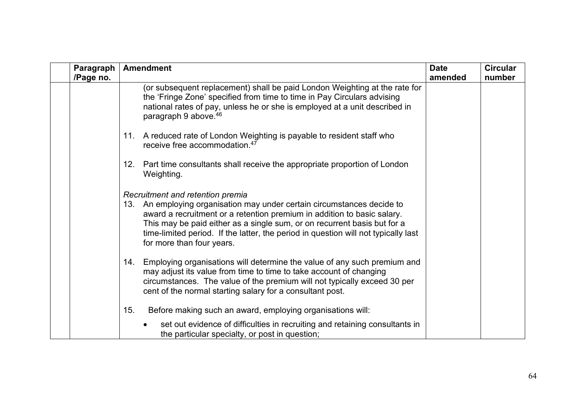| Paragraph<br>/Page no. | <b>Amendment</b>                                                                                                                                                                                                                                                                                                                                                                         | <b>Date</b><br>amended | <b>Circular</b><br>number |
|------------------------|------------------------------------------------------------------------------------------------------------------------------------------------------------------------------------------------------------------------------------------------------------------------------------------------------------------------------------------------------------------------------------------|------------------------|---------------------------|
|                        | (or subsequent replacement) shall be paid London Weighting at the rate for<br>the 'Fringe Zone' specified from time to time in Pay Circulars advising<br>national rates of pay, unless he or she is employed at a unit described in<br>paragraph 9 above. 46                                                                                                                             |                        |                           |
|                        | 11. A reduced rate of London Weighting is payable to resident staff who<br>receive free accommodation. <sup>47</sup>                                                                                                                                                                                                                                                                     |                        |                           |
|                        | 12.<br>Part time consultants shall receive the appropriate proportion of London<br>Weighting.                                                                                                                                                                                                                                                                                            |                        |                           |
|                        | Recruitment and retention premia<br>An employing organisation may under certain circumstances decide to<br>13.<br>award a recruitment or a retention premium in addition to basic salary.<br>This may be paid either as a single sum, or on recurrent basis but for a<br>time-limited period. If the latter, the period in question will not typically last<br>for more than four years. |                        |                           |
|                        | Employing organisations will determine the value of any such premium and<br>14.<br>may adjust its value from time to time to take account of changing<br>circumstances. The value of the premium will not typically exceed 30 per<br>cent of the normal starting salary for a consultant post.                                                                                           |                        |                           |
|                        | 15.<br>Before making such an award, employing organisations will:<br>set out evidence of difficulties in recruiting and retaining consultants in<br>the particular specialty, or post in question;                                                                                                                                                                                       |                        |                           |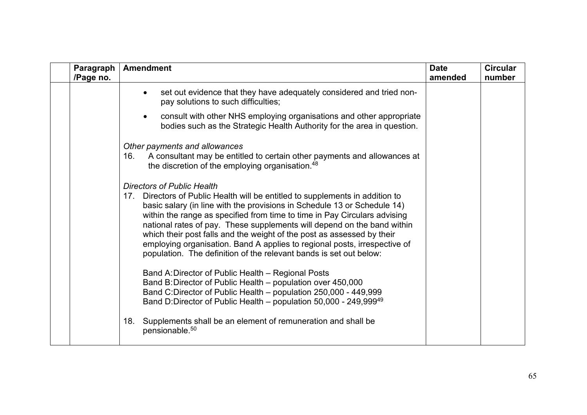| Paragraph<br>/Page no. | <b>Amendment</b>                                                                                                                                                                                                                                                                                                                                                                                                                                                                                                                                                                                                                                                                                                                                                                                                                                | <b>Date</b><br>amended | <b>Circular</b><br>number |
|------------------------|-------------------------------------------------------------------------------------------------------------------------------------------------------------------------------------------------------------------------------------------------------------------------------------------------------------------------------------------------------------------------------------------------------------------------------------------------------------------------------------------------------------------------------------------------------------------------------------------------------------------------------------------------------------------------------------------------------------------------------------------------------------------------------------------------------------------------------------------------|------------------------|---------------------------|
|                        | set out evidence that they have adequately considered and tried non-<br>pay solutions to such difficulties;                                                                                                                                                                                                                                                                                                                                                                                                                                                                                                                                                                                                                                                                                                                                     |                        |                           |
|                        | consult with other NHS employing organisations and other appropriate<br>bodies such as the Strategic Health Authority for the area in question.                                                                                                                                                                                                                                                                                                                                                                                                                                                                                                                                                                                                                                                                                                 |                        |                           |
|                        | Other payments and allowances<br>A consultant may be entitled to certain other payments and allowances at<br>16.<br>the discretion of the employing organisation. <sup>48</sup>                                                                                                                                                                                                                                                                                                                                                                                                                                                                                                                                                                                                                                                                 |                        |                           |
|                        | <b>Directors of Public Health</b><br>17. Directors of Public Health will be entitled to supplements in addition to<br>basic salary (in line with the provisions in Schedule 13 or Schedule 14)<br>within the range as specified from time to time in Pay Circulars advising<br>national rates of pay. These supplements will depend on the band within<br>which their post falls and the weight of the post as assessed by their<br>employing organisation. Band A applies to regional posts, irrespective of<br>population. The definition of the relevant bands is set out below:<br>Band A: Director of Public Health - Regional Posts<br>Band B: Director of Public Health – population over 450,000<br>Band C:Director of Public Health - population 250,000 - 449,999<br>Band D:Director of Public Health – population 50,000 - 249,99949 |                        |                           |
|                        | Supplements shall be an element of remuneration and shall be<br>18.<br>pensionable. <sup>50</sup>                                                                                                                                                                                                                                                                                                                                                                                                                                                                                                                                                                                                                                                                                                                                               |                        |                           |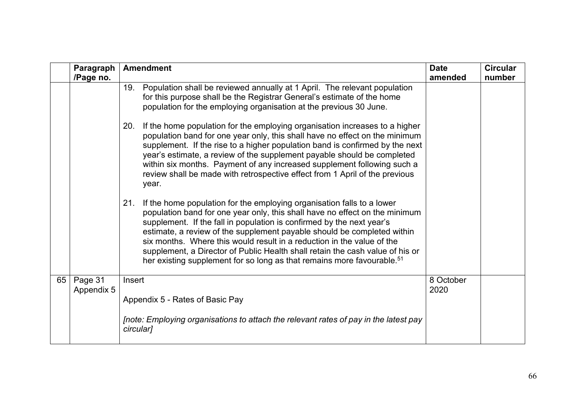|    | Paragraph<br>/Page no. | <b>Amendment</b>                                                                                                                                                                                                                                                                                                                                                                                                                                                                                                                                                  | <b>Date</b><br>amended | <b>Circular</b><br>number |
|----|------------------------|-------------------------------------------------------------------------------------------------------------------------------------------------------------------------------------------------------------------------------------------------------------------------------------------------------------------------------------------------------------------------------------------------------------------------------------------------------------------------------------------------------------------------------------------------------------------|------------------------|---------------------------|
|    |                        | 19.<br>Population shall be reviewed annually at 1 April. The relevant population<br>for this purpose shall be the Registrar General's estimate of the home<br>population for the employing organisation at the previous 30 June.                                                                                                                                                                                                                                                                                                                                  |                        |                           |
|    |                        | 20.<br>If the home population for the employing organisation increases to a higher<br>population band for one year only, this shall have no effect on the minimum<br>supplement. If the rise to a higher population band is confirmed by the next<br>year's estimate, a review of the supplement payable should be completed<br>within six months. Payment of any increased supplement following such a<br>review shall be made with retrospective effect from 1 April of the previous<br>year.                                                                   |                        |                           |
|    |                        | 21.<br>If the home population for the employing organisation falls to a lower<br>population band for one year only, this shall have no effect on the minimum<br>supplement. If the fall in population is confirmed by the next year's<br>estimate, a review of the supplement payable should be completed within<br>six months. Where this would result in a reduction in the value of the<br>supplement, a Director of Public Health shall retain the cash value of his or<br>her existing supplement for so long as that remains more favourable. <sup>51</sup> |                        |                           |
| 65 | Page 31<br>Appendix 5  | Insert<br>Appendix 5 - Rates of Basic Pay                                                                                                                                                                                                                                                                                                                                                                                                                                                                                                                         | 8 October<br>2020      |                           |
|    |                        | Inote: Employing organisations to attach the relevant rates of pay in the latest pay<br>circular]                                                                                                                                                                                                                                                                                                                                                                                                                                                                 |                        |                           |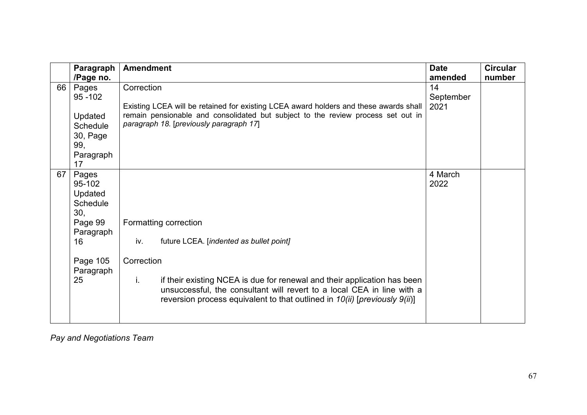|    | Paragraph       | <b>Amendment</b>                                                                                                                                                                                                                            | <b>Date</b> | <b>Circular</b> |
|----|-----------------|---------------------------------------------------------------------------------------------------------------------------------------------------------------------------------------------------------------------------------------------|-------------|-----------------|
|    | /Page no.       |                                                                                                                                                                                                                                             | amended     | number          |
| 66 | Pages           | Correction                                                                                                                                                                                                                                  | 14          |                 |
|    | $95 - 102$      |                                                                                                                                                                                                                                             | September   |                 |
|    |                 | Existing LCEA will be retained for existing LCEA award holders and these awards shall                                                                                                                                                       | 2021        |                 |
|    | Updated         | remain pensionable and consolidated but subject to the review process set out in                                                                                                                                                            |             |                 |
|    | Schedule        | paragraph 18. [previously paragraph 17]                                                                                                                                                                                                     |             |                 |
|    | 30, Page        |                                                                                                                                                                                                                                             |             |                 |
|    | 99,             |                                                                                                                                                                                                                                             |             |                 |
|    | Paragraph       |                                                                                                                                                                                                                                             |             |                 |
|    | 17              |                                                                                                                                                                                                                                             |             |                 |
| 67 | Pages           |                                                                                                                                                                                                                                             | 4 March     |                 |
|    | 95-102          |                                                                                                                                                                                                                                             | 2022        |                 |
|    | Updated         |                                                                                                                                                                                                                                             |             |                 |
|    | <b>Schedule</b> |                                                                                                                                                                                                                                             |             |                 |
|    | 30,             |                                                                                                                                                                                                                                             |             |                 |
|    | Page 99         | Formatting correction                                                                                                                                                                                                                       |             |                 |
|    | Paragraph       |                                                                                                                                                                                                                                             |             |                 |
|    | 16              | iv.<br>future LCEA. [indented as bullet point]                                                                                                                                                                                              |             |                 |
|    |                 |                                                                                                                                                                                                                                             |             |                 |
|    | Page 105        | Correction                                                                                                                                                                                                                                  |             |                 |
|    | Paragraph       |                                                                                                                                                                                                                                             |             |                 |
|    | 25              | if their existing NCEA is due for renewal and their application has been<br>j.<br>unsuccessful, the consultant will revert to a local CEA in line with a<br>reversion process equivalent to that outlined in $10(ii)$ [previously $9(ii)$ ] |             |                 |
|    |                 |                                                                                                                                                                                                                                             |             |                 |

*Pay and Negotiations Team*